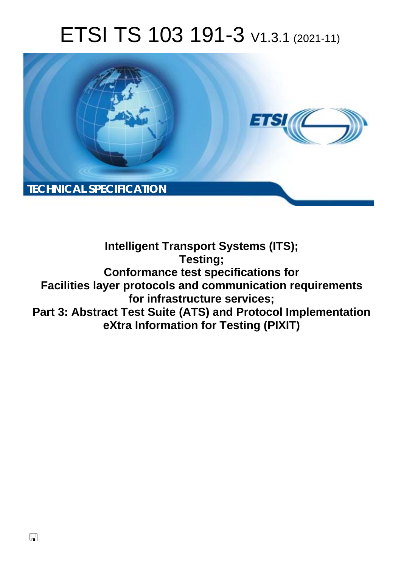# ETSI TS 103 191-3 V1.3.1 (2021-11)



**Intelligent Transport Systems (ITS); Testing; Conformance test specifications for Facilities layer protocols and communication requirements for infrastructure services; Part 3: Abstract Test Suite (ATS) and Protocol Implementation eXtra Information for Testing (PIXIT)**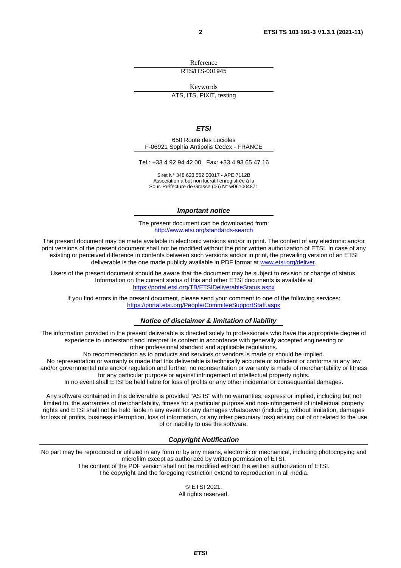Reference RTS/ITS-001945

Keywords ATS, ITS, PIXIT, testing

#### *ETSI*

650 Route des Lucioles F-06921 Sophia Antipolis Cedex - FRANCE

Tel.: +33 4 92 94 42 00 Fax: +33 4 93 65 47 16

Siret N° 348 623 562 00017 - APE 7112B Association à but non lucratif enregistrée à la Sous-Préfecture de Grasse (06) N° w061004871

#### *Important notice*

The present document can be downloaded from: <http://www.etsi.org/standards-search>

The present document may be made available in electronic versions and/or in print. The content of any electronic and/or print versions of the present document shall not be modified without the prior written authorization of ETSI. In case of any existing or perceived difference in contents between such versions and/or in print, the prevailing version of an ETSI deliverable is the one made publicly available in PDF format at [www.etsi.org/deliver](http://www.etsi.org/deliver).

Users of the present document should be aware that the document may be subject to revision or change of status. Information on the current status of this and other ETSI documents is available at <https://portal.etsi.org/TB/ETSIDeliverableStatus.aspx>

If you find errors in the present document, please send your comment to one of the following services: <https://portal.etsi.org/People/CommiteeSupportStaff.aspx>

#### *Notice of disclaimer & limitation of liability*

The information provided in the present deliverable is directed solely to professionals who have the appropriate degree of experience to understand and interpret its content in accordance with generally accepted engineering or other professional standard and applicable regulations.

No recommendation as to products and services or vendors is made or should be implied.

No representation or warranty is made that this deliverable is technically accurate or sufficient or conforms to any law and/or governmental rule and/or regulation and further, no representation or warranty is made of merchantability or fitness for any particular purpose or against infringement of intellectual property rights.

In no event shall ETSI be held liable for loss of profits or any other incidental or consequential damages.

Any software contained in this deliverable is provided "AS IS" with no warranties, express or implied, including but not limited to, the warranties of merchantability, fitness for a particular purpose and non-infringement of intellectual property rights and ETSI shall not be held liable in any event for any damages whatsoever (including, without limitation, damages for loss of profits, business interruption, loss of information, or any other pecuniary loss) arising out of or related to the use of or inability to use the software.

#### *Copyright Notification*

No part may be reproduced or utilized in any form or by any means, electronic or mechanical, including photocopying and microfilm except as authorized by written permission of ETSI. The content of the PDF version shall not be modified without the written authorization of ETSI.

The copyright and the foregoing restriction extend to reproduction in all media.

© ETSI 2021. All rights reserved.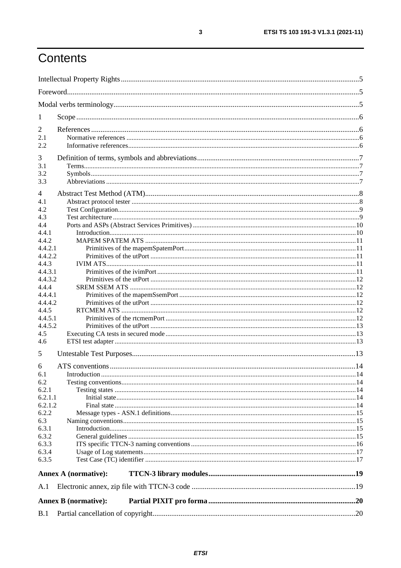# Contents

| 1            |                             |  |
|--------------|-----------------------------|--|
| 2            |                             |  |
| 2.1          |                             |  |
| 2.2          |                             |  |
| 3            |                             |  |
| 3.1          |                             |  |
| 3.2          |                             |  |
| 3.3          |                             |  |
|              |                             |  |
| 4            |                             |  |
| 4.1<br>4.2   |                             |  |
| 4.3          |                             |  |
| 4.4          |                             |  |
| 4.4.1        |                             |  |
| 4.4.2        |                             |  |
| 4.4.2.1      |                             |  |
| 4.4.2.2      |                             |  |
| 4.4.3        |                             |  |
| 4.4.3.1      |                             |  |
| 4.4.3.2      |                             |  |
| 4.4.4        |                             |  |
| 4.4.4.1      |                             |  |
| 4.4.4.2      |                             |  |
| 4.4.5        |                             |  |
| 4.4.5.1      |                             |  |
| 4.4.5.2      |                             |  |
| 4.5          |                             |  |
| 4.6          |                             |  |
| 5            |                             |  |
|              |                             |  |
| 6            |                             |  |
| 6.1          |                             |  |
| 6.2<br>6.2.1 |                             |  |
| 6.2.1.1      |                             |  |
| 6.2.1.2      |                             |  |
| 6.2.2        |                             |  |
| 6.3          |                             |  |
| 6.3.1        |                             |  |
| 6.3.2        |                             |  |
| 6.3.3        |                             |  |
| 6.3.4        |                             |  |
| 6.3.5        |                             |  |
|              | <b>Annex A (normative):</b> |  |
| A.1          |                             |  |
|              |                             |  |
|              | <b>Annex B</b> (normative): |  |
| B.1          |                             |  |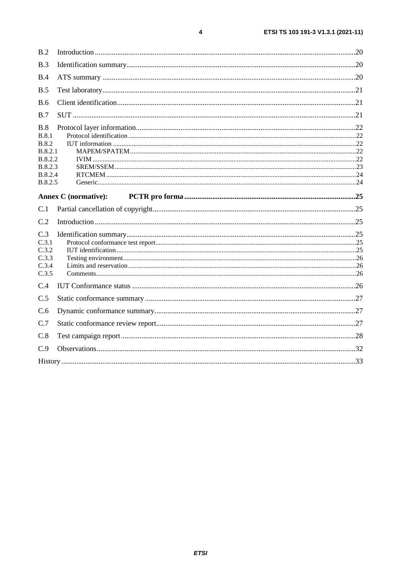| B.2                                                                                        |                             |  |
|--------------------------------------------------------------------------------------------|-----------------------------|--|
| B.3                                                                                        |                             |  |
| B.4                                                                                        |                             |  |
| B.5                                                                                        |                             |  |
| <b>B.6</b>                                                                                 |                             |  |
| B.7                                                                                        |                             |  |
| B.8<br><b>B.8.1</b><br><b>B.8.2</b><br>B.8.2.1<br>B.8.2.2<br>B.8.2.3<br>B.8.2.4<br>B.8.2.5 |                             |  |
|                                                                                            | <b>Annex C</b> (normative): |  |
| C.1                                                                                        |                             |  |
| C.2                                                                                        |                             |  |
| C.3<br>C.3.1<br>C.3.2<br>C.3.3<br>C.3.4<br>C.3.5                                           |                             |  |
| C.4                                                                                        |                             |  |
| C.5                                                                                        |                             |  |
| C.6                                                                                        |                             |  |
| C.7                                                                                        |                             |  |
| C.8                                                                                        |                             |  |
| C.9                                                                                        |                             |  |
|                                                                                            |                             |  |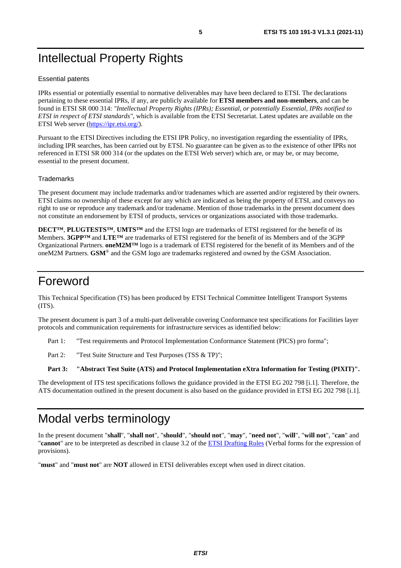# <span id="page-4-0"></span>Intellectual Property Rights

#### Essential patents

IPRs essential or potentially essential to normative deliverables may have been declared to ETSI. The declarations pertaining to these essential IPRs, if any, are publicly available for **ETSI members and non-members**, and can be found in ETSI SR 000 314: *"Intellectual Property Rights (IPRs); Essential, or potentially Essential, IPRs notified to ETSI in respect of ETSI standards"*, which is available from the ETSI Secretariat. Latest updates are available on the ETSI Web server (<https://ipr.etsi.org/>).

Pursuant to the ETSI Directives including the ETSI IPR Policy, no investigation regarding the essentiality of IPRs, including IPR searches, has been carried out by ETSI. No guarantee can be given as to the existence of other IPRs not referenced in ETSI SR 000 314 (or the updates on the ETSI Web server) which are, or may be, or may become, essential to the present document.

#### **Trademarks**

The present document may include trademarks and/or tradenames which are asserted and/or registered by their owners. ETSI claims no ownership of these except for any which are indicated as being the property of ETSI, and conveys no right to use or reproduce any trademark and/or tradename. Mention of those trademarks in the present document does not constitute an endorsement by ETSI of products, services or organizations associated with those trademarks.

**DECT™**, **PLUGTESTS™**, **UMTS™** and the ETSI logo are trademarks of ETSI registered for the benefit of its Members. **3GPP™** and **LTE™** are trademarks of ETSI registered for the benefit of its Members and of the 3GPP Organizational Partners. **oneM2M™** logo is a trademark of ETSI registered for the benefit of its Members and of the oneM2M Partners. **GSM**® and the GSM logo are trademarks registered and owned by the GSM Association.

### Foreword

This Technical Specification (TS) has been produced by ETSI Technical Committee Intelligent Transport Systems (ITS).

The present document is part 3 of a multi-part deliverable covering Conformance test specifications for Facilities layer protocols and communication requirements for infrastructure services as identified below:

Part 1: "Test requirements and Protocol Implementation Conformance Statement (PICS) pro forma";

Part 2: "Test Suite Structure and Test Purposes (TSS & TP)";

#### **Part 3: "Abstract Test Suite (ATS) and Protocol Implementation eXtra Information for Testing (PIXIT)".**

The development of ITS test specifications follows the guidance provided in the ETSI EG 202 798 [\[i.1\]](#page-6-0). Therefore, the ATS documentation outlined in the present document is also based on the guidance provided in ETSI EG 202 798 [\[i.1\]](#page-6-0).

# Modal verbs terminology

In the present document "**shall**", "**shall not**", "**should**", "**should not**", "**may**", "**need not**", "**will**", "**will not**", "**can**" and "**cannot**" are to be interpreted as described in clause 3.2 of the [ETSI Drafting Rules](https://portal.etsi.org/Services/editHelp!/Howtostart/ETSIDraftingRules.aspx) (Verbal forms for the expression of provisions).

"**must**" and "**must not**" are **NOT** allowed in ETSI deliverables except when used in direct citation.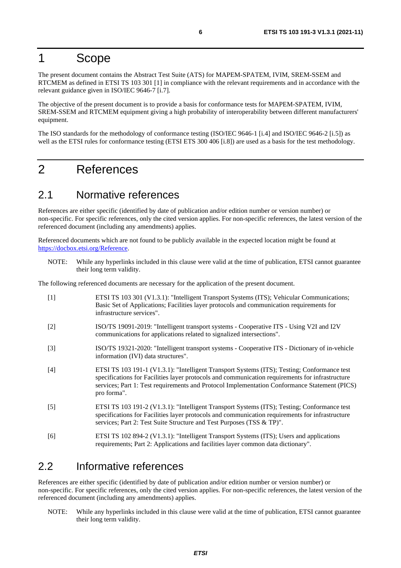# <span id="page-5-0"></span>1 Scope

The present document contains the Abstract Test Suite (ATS) for MAPEM-SPATEM, IVIM, SREM-SSEM and RTCMEM as defined in ETSI TS 103 301 [1] in compliance with the relevant requirements and in accordance with the relevant guidance given in ISO/IEC 9646-7 [\[i.7](#page-6-0)].

The objective of the present document is to provide a basis for conformance tests for MAPEM-SPATEM, IVIM, SREM-SSEM and RTCMEM equipment giving a high probability of interoperability between different manufacturers' equipment.

The ISO standards for the methodology of conformance testing (ISO/IEC 9646-1 [\[i.4\]](#page-6-0) and ISO/IEC 9646-2 [\[i.5](#page-6-0)]) as well as the ETSI rules for conformance testing (ETSI ETS 300 406 [\[i.8](#page-6-0)]) are used as a basis for the test methodology.

# 2 References

### 2.1 Normative references

References are either specific (identified by date of publication and/or edition number or version number) or non-specific. For specific references, only the cited version applies. For non-specific references, the latest version of the referenced document (including any amendments) applies.

Referenced documents which are not found to be publicly available in the expected location might be found at <https://docbox.etsi.org/Reference>.

NOTE: While any hyperlinks included in this clause were valid at the time of publication, ETSI cannot guarantee their long term validity.

The following referenced documents are necessary for the application of the present document.

| $[1]$ | ETSI TS 103 301 (V1.3.1): "Intelligent Transport Systems (ITS); Vehicular Communications;<br>Basic Set of Applications; Facilities layer protocols and communication requirements for<br>infrastructure services".                                                                                            |
|-------|---------------------------------------------------------------------------------------------------------------------------------------------------------------------------------------------------------------------------------------------------------------------------------------------------------------|
| $[2]$ | ISO/TS 19091-2019: "Intelligent transport systems - Cooperative ITS - Using V2I and I2V<br>communications for applications related to signalized intersections".                                                                                                                                              |
| $[3]$ | ISO/TS 19321-2020: "Intelligent transport systems - Cooperative ITS - Dictionary of in-vehicle<br>information (IVI) data structures".                                                                                                                                                                         |
| $[4]$ | ETSI TS 103 191-1 (V1.3.1): "Intelligent Transport Systems (ITS); Testing; Conformance test<br>specifications for Facilities layer protocols and communication requirements for infrastructure<br>services; Part 1: Test requirements and Protocol Implementation Conformance Statement (PICS)<br>pro forma". |
| $[5]$ | ETSI TS 103 191-2 (V1.3.1): "Intelligent Transport Systems (ITS); Testing; Conformance test<br>specifications for Facilities layer protocols and communication requirements for infrastructure<br>services; Part 2: Test Suite Structure and Test Purposes (TSS & TP)".                                       |
| [6]   | ETSI TS 102 894-2 (V1.3.1): "Intelligent Transport Systems (ITS); Users and applications<br>requirements; Part 2: Applications and facilities layer common data dictionary".                                                                                                                                  |

### 2.2 Informative references

References are either specific (identified by date of publication and/or edition number or version number) or non-specific. For specific references, only the cited version applies. For non-specific references, the latest version of the referenced document (including any amendments) applies.

NOTE: While any hyperlinks included in this clause were valid at the time of publication, ETSI cannot guarantee their long term validity.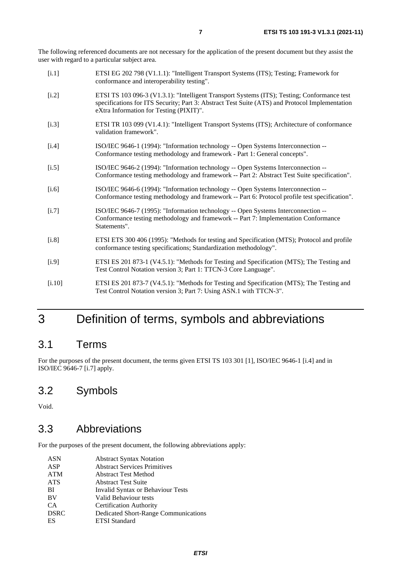<span id="page-6-0"></span>The following referenced documents are not necessary for the application of the present document but they assist the user with regard to a particular subject area.

| [i.1] | ETSI EG 202 798 (V1.1.1): "Intelligent Transport Systems (ITS); Testing; Framework for |
|-------|----------------------------------------------------------------------------------------|
|       | conformance and interoperability testing".                                             |

- [i.2] ETSI TS 103 096-3 (V1.3.1): "Intelligent Transport Systems (ITS); Testing; Conformance test specifications for ITS Security; Part 3: Abstract Test Suite (ATS) and Protocol Implementation eXtra Information for Testing (PIXIT)".
- [i.3] ETSI TR 103 099 (V1.4.1): "Intelligent Transport Systems (ITS); Architecture of conformance validation framework".
- [i.4] ISO/IEC 9646-1 (1994): "Information technology -- Open Systems Interconnection -- Conformance testing methodology and framework - Part 1: General concepts".
- [i.5] ISO/IEC 9646-2 (1994): "Information technology -- Open Systems Interconnection -- Conformance testing methodology and framework -- Part 2: Abstract Test Suite specification".
- [i.6] ISO/IEC 9646-6 (1994): "Information technology -- Open Systems Interconnection -- Conformance testing methodology and framework -- Part 6: Protocol profile test specification".
- [i.7] ISO/IEC 9646-7 (1995): "Information technology -- Open Systems Interconnection -- Conformance testing methodology and framework -- Part 7: Implementation Conformance Statements".
- [i.8] ETSI ETS 300 406 (1995): "Methods for testing and Specification (MTS); Protocol and profile conformance testing specifications; Standardization methodology".
- [i.9] ETSI ES 201 873-1 (V4.5.1): "Methods for Testing and Specification (MTS); The Testing and Test Control Notation version 3; Part 1: TTCN-3 Core Language".
- [i.10] ETSI ES 201 873-7 (V4.5.1): "Methods for Testing and Specification (MTS); The Testing and Test Control Notation version 3; Part 7: Using ASN.1 with TTCN-3".

# 3 Definition of terms, symbols and abbreviations

### 3.1 Terms

For the purposes of the present document, the terms given ETSI TS 103 301 [\[1](#page-5-0)], ISO/IEC 9646-1 [i.4] and in ISO/IEC 9646-7 [i.7] apply.

### 3.2 Symbols

Void.

### 3.3 Abbreviations

For the purposes of the present document, the following abbreviations apply:

| <b>Abstract Syntax Notation</b>          |
|------------------------------------------|
| <b>Abstract Services Primitives</b>      |
| <b>Abstract Test Method</b>              |
| <b>Abstract Test Suite</b>               |
| <b>Invalid Syntax or Behaviour Tests</b> |
| Valid Behaviour tests                    |
| <b>Certification Authority</b>           |
| Dedicated Short-Range Communications     |
| <b>ETSI</b> Standard                     |
|                                          |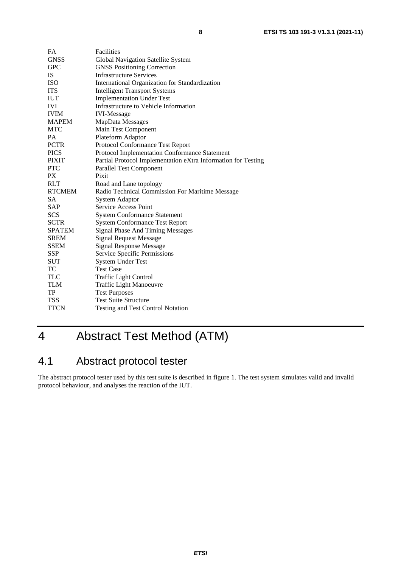<span id="page-7-0"></span>

| FA            | Facilities                                                    |
|---------------|---------------------------------------------------------------|
| <b>GNSS</b>   | Global Navigation Satellite System                            |
| <b>GPC</b>    | <b>GNSS Positioning Correction</b>                            |
| <b>IS</b>     | <b>Infrastructure Services</b>                                |
| <b>ISO</b>    | International Organization for Standardization                |
| <b>ITS</b>    | <b>Intelligent Transport Systems</b>                          |
| <b>IUT</b>    | <b>Implementation Under Test</b>                              |
| <b>IVI</b>    | Infrastructure to Vehicle Information                         |
| <b>IVIM</b>   | <b>IVI-Message</b>                                            |
| <b>MAPEM</b>  | MapData Messages                                              |
| <b>MTC</b>    | Main Test Component                                           |
| <b>PA</b>     | Plateform Adaptor                                             |
| <b>PCTR</b>   | Protocol Conformance Test Report                              |
| <b>PICS</b>   | Protocol Implementation Conformance Statement                 |
| <b>PIXIT</b>  | Partial Protocol Implementation eXtra Information for Testing |
| <b>PTC</b>    | <b>Parallel Test Component</b>                                |
| PX            | Pixit                                                         |
| <b>RLT</b>    | Road and Lane topology                                        |
| <b>RTCMEM</b> | Radio Technical Commission For Maritime Message               |
| <b>SA</b>     | System Adaptor                                                |
| <b>SAP</b>    | Service Access Point                                          |
| <b>SCS</b>    | <b>System Conformance Statement</b>                           |
| <b>SCTR</b>   | <b>System Conformance Test Report</b>                         |
| <b>SPATEM</b> | <b>Signal Phase And Timing Messages</b>                       |
| <b>SREM</b>   | <b>Signal Request Message</b>                                 |
| <b>SSEM</b>   | <b>Signal Response Message</b>                                |
| <b>SSP</b>    | <b>Service Specific Permissions</b>                           |
| <b>SUT</b>    | <b>System Under Test</b>                                      |
| TC            | <b>Test Case</b>                                              |
| <b>TLC</b>    | <b>Traffic Light Control</b>                                  |
| <b>TLM</b>    | <b>Traffic Light Manoeuvre</b>                                |
| TP            | <b>Test Purposes</b>                                          |
| <b>TSS</b>    | <b>Test Suite Structure</b>                                   |
| <b>TTCN</b>   | Testing and Test Control Notation                             |

# 4 Abstract Test Method (ATM)

# 4.1 Abstract protocol tester

The abstract protocol tester used by this test suite is described in figure [1.](#page-8-0) The test system simulates valid and invalid protocol behaviour, and analyses the reaction of the IUT.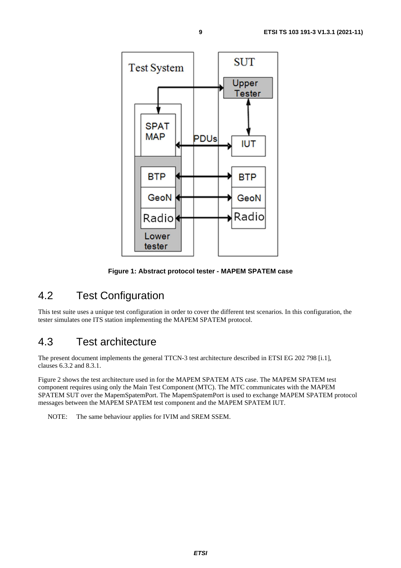<span id="page-8-0"></span>

**Figure 1: Abstract protocol tester - MAPEM SPATEM case** 

# 4.2 Test Configuration

This test suite uses a unique test configuration in order to cover the different test scenarios. In this configuration, the tester simulates one ITS station implementing the MAPEM SPATEM protocol.

### 4.3 Test architecture

The present document implements the general TTCN-3 test architecture described in ETSI EG 202 798 [[i.1](#page-6-0)], clauses 6.3.2 and 8.3.1.

Figure 2 shows the test architecture used in for the MAPEM SPATEM ATS case. The MAPEM SPATEM test component requires using only the Main Test Component (MTC). The MTC communicates with the MAPEM SPATEM SUT over the MapemSpatemPort. The MapemSpatemPort is used to exchange MAPEM SPATEM protocol messages between the MAPEM SPATEM test component and the MAPEM SPATEM IUT.

NOTE: The same behaviour applies for IVIM and SREM SSEM.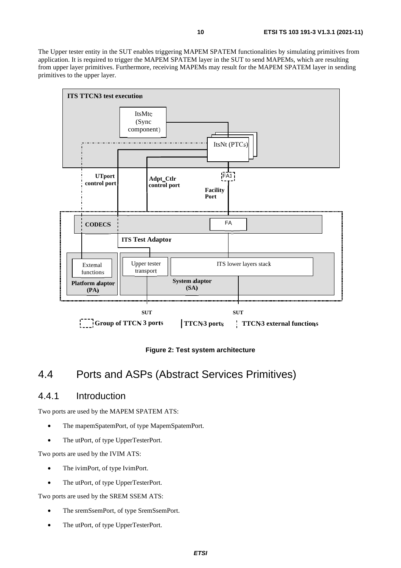<span id="page-9-0"></span>The Upper tester entity in the SUT enables triggering MAPEM SPATEM functionalities by simulating primitives from application. It is required to trigger the MAPEM SPATEM layer in the SUT to send MAPEMs, which are resulting from upper layer primitives. Furthermore, receiving MAPEMs may result for the MAPEM SPATEM layer in sending primitives to the upper layer.



**Figure 2: Test system architecture** 

### 4.4 Ports and ASPs (Abstract Services Primitives)

### 4.4.1 Introduction

Two ports are used by the MAPEM SPATEM ATS:

- The mapemSpatemPort, of type MapemSpatemPort.
- The utPort, of type UpperTesterPort.

Two ports are used by the IVIM ATS:

- The ivimPort, of type IvimPort.
- The utPort, of type UpperTesterPort.

Two ports are used by the SREM SSEM ATS:

- The sremSsemPort, of type SremSsemPort.
- The utPort, of type UpperTesterPort.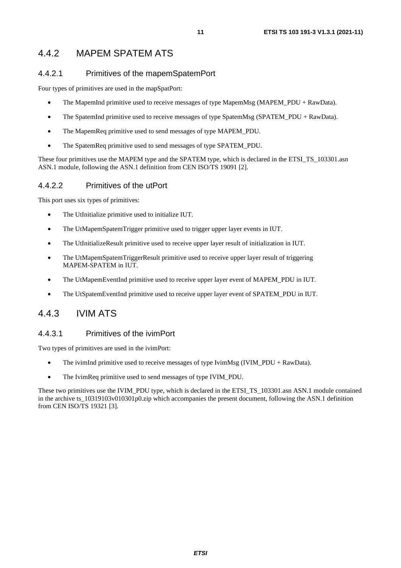### <span id="page-10-0"></span>4.4.2 MAPEM SPATEM ATS

### 4.4.2.1 Primitives of the mapemSpatemPort

Four types of primitives are used in the mapSpatPort:

- The MapemInd primitive used to receive messages of type MapemMsg (MAPEM\_PDU + RawData).
- The SpatemInd primitive used to receive messages of type SpatemMsg (SPATEM\_PDU + RawData).
- The MapemReq primitive used to send messages of type MAPEM PDU.
- The SpatemReq primitive used to send messages of type SPATEM PDU.

These four primitives use the MAPEM type and the SPATEM type, which is declared in the ETSI\_TS\_103301.asn ASN.1 module, following the ASN.1 definition from CEN ISO/TS 19091 [\[2](#page-5-0)].

### 4.4.2.2 Primitives of the utPort

This port uses six types of primitives:

- The UtInitialize primitive used to initialize IUT.
- The UtMapemSpatemTrigger primitive used to trigger upper layer events in IUT.
- The UtInitializeResult primitive used to receive upper layer result of initialization in IUT.
- The UtMapemSpatemTriggerResult primitive used to receive upper layer result of triggering MAPEM-SPATEM in IUT.
- The UtMapemEventInd primitive used to receive upper layer event of MAPEM PDU in IUT.
- The UtSpatemEventInd primitive used to receive upper layer event of SPATEM\_PDU in IUT.

### 4.4.3 IVIM ATS

### 4.4.3.1 Primitives of the ivimPort

Two types of primitives are used in the ivimPort:

- The ivimInd primitive used to receive messages of type IvimMsg (IVIM\_PDU + RawData).
- The IvimReq primitive used to send messages of type IVIM\_PDU.

These two primitives use the IVIM\_PDU type, which is declared in the ETSI\_TS\_103301.asn ASN.1 module contained in the archive ts\_10319103v010301p0.zip which accompanies the present document, following the ASN.1 definition from CEN ISO/TS 19321 [\[3\]](#page-5-0).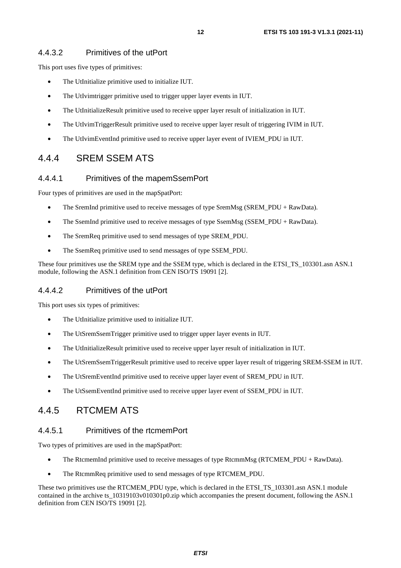### <span id="page-11-0"></span>4.4.3.2 Primitives of the utPort

This port uses five types of primitives:

- The UtInitialize primitive used to initialize IUT.
- The UtIvimtrigger primitive used to trigger upper layer events in IUT.
- The UtInitializeResult primitive used to receive upper layer result of initialization in IUT.
- The UtIvimTriggerResult primitive used to receive upper layer result of triggering IVIM in IUT.
- The UtIvimEventInd primitive used to receive upper layer event of IVIEM\_PDU in IUT.

### 4.4.4 SREM SSEM ATS

#### 4.4.4.1 Primitives of the mapemSsemPort

Four types of primitives are used in the mapSpatPort:

- The SremInd primitive used to receive messages of type SremMsg (SREM\_PDU + RawData).
- The SsemInd primitive used to receive messages of type SsemMsg (SSEM\_PDU + RawData).
- The SremReq primitive used to send messages of type SREM\_PDU.
- The SsemReq primitive used to send messages of type SSEM\_PDU.

These four primitives use the SREM type and the SSEM type, which is declared in the ETSI\_TS\_103301.asn ASN.1 module, following the ASN.1 definition from CEN ISO/TS 19091 [\[2](#page-5-0)].

#### 4.4.4.2 Primitives of the utPort

This port uses six types of primitives:

- The UtInitialize primitive used to initialize IUT.
- The UtSremSsemTrigger primitive used to trigger upper layer events in IUT.
- The UtInitializeResult primitive used to receive upper layer result of initialization in IUT.
- The UtSremSsemTriggerResult primitive used to receive upper layer result of triggering SREM-SSEM in IUT.
- The UtSremEventInd primitive used to receive upper layer event of SREM\_PDU in IUT.
- The UtSsemEventInd primitive used to receive upper layer event of SSEM\_PDU in IUT.

### 4.4.5 RTCMEM ATS

#### 4.4.5.1 Primitives of the rtcmemPort

Two types of primitives are used in the mapSpatPort:

- The RtcmemInd primitive used to receive messages of type RtcmmMsg (RTCMEM\_PDU + RawData).
- The RtcmmReq primitive used to send messages of type RTCMEM\_PDU.

These two primitives use the RTCMEM\_PDU type, which is declared in the ETSI\_TS\_103301.asn ASN.1 module contained in the archive ts\_10319103v010301p0.zip which accompanies the present document, following the ASN.1 definition from CEN ISO/TS 19091 [\[2](#page-5-0)].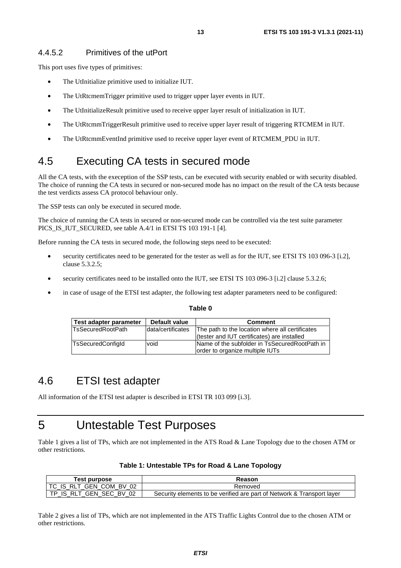### <span id="page-12-0"></span>4.4.5.2 Primitives of the utPort

This port uses five types of primitives:

- The UtInitialize primitive used to initialize IUT.
- The UtRtcmemTrigger primitive used to trigger upper layer events in IUT.
- The UtInitializeResult primitive used to receive upper layer result of initialization in IUT.
- The UtRtcmmTriggerResult primitive used to receive upper layer result of triggering RTCMEM in IUT.
- The UtRtcmmEventInd primitive used to receive upper layer event of RTCMEM\_PDU in IUT.

# 4.5 Executing CA tests in secured mode

All the CA tests, with the exeception of the SSP tests, can be executed with security enabled or with security disabled. The choice of running the CA tests in secured or non-secured mode has no impact on the result of the CA tests because the test verdicts assess CA protocol behaviour only.

The SSP tests can only be executed in secured mode.

The choice of running the CA tests in secured or non-secured mode can be controlled via the test suite parameter PICS\_IS\_IUT\_SECURED, see table A.4/1 in ETSI TS 103 191-1 [[4\]](#page-5-0).

Before running the CA tests in secured mode, the following steps need to be executed:

- security certificates need to be generated for the tester as well as for the IUT, see ETSI TS 103 096-3 [[i.2\]](#page-6-0), clause 5.3.2.5;
- security certificates need to be installed onto the IUT, see ETSI TS 103 096-3 [\[i.2\]](#page-6-0) clause 5.3.2.6;
- in case of usage of the ETSI test adapter, the following test adapter parameters need to be configured:

| ۰.<br>×<br>÷<br>× |  |
|-------------------|--|
|-------------------|--|

| Test adapter parameter   | Default value     | <b>Comment</b>                                                                   |
|--------------------------|-------------------|----------------------------------------------------------------------------------|
| <b>TsSecuredRootPath</b> | data/certificates | The path to the location where all certificates                                  |
|                          |                   | (tester and IUT certificates) are installed                                      |
| <b>TsSecuredConfigld</b> | void              | Name of the subfolder in TsSecuredRootPath in<br>order to organize multiple IUTs |

### 4.6 ETSI test adapter

All information of the ETSI test adapter is described in ETSI TR 103 099 [\[i.3](#page-6-0)].

# 5 Untestable Test Purposes

Table 1 gives a list of TPs, which are not implemented in the ATS Road & Lane Topology due to the chosen ATM or other restrictions.

| Table 1: Untestable TPs for Road & Lane Topology |  |  |
|--------------------------------------------------|--|--|
|--------------------------------------------------|--|--|

| Test purpose                   | Reason                                                                 |
|--------------------------------|------------------------------------------------------------------------|
| I TC IS RLT GEN COM BV<br>02   | Removed                                                                |
| RLT GEN SEC BV<br>TP IS<br>-02 | Security elements to be verified are part of Network & Transport layer |

Table 2 gives a list of TPs, which are not implemented in the ATS Traffic Lights Control due to the chosen ATM or other restrictions.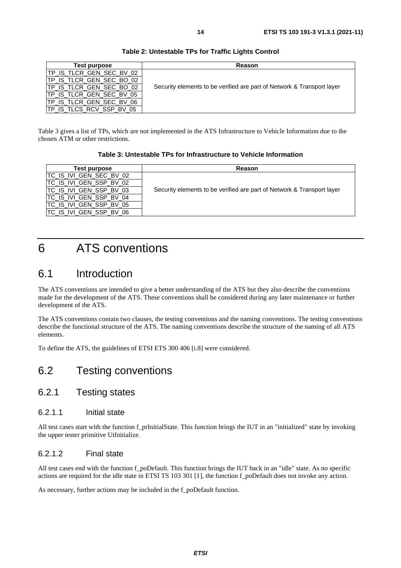<span id="page-13-0"></span>

| Test purpose             | Reason                                                                 |
|--------------------------|------------------------------------------------------------------------|
| TP_IS_TLCR_GEN_SEC_BV_02 |                                                                        |
| TP_IS_TLCR_GEN_SEC_BO_02 |                                                                        |
| TP_IS_TLCR_GEN_SEC_BO_02 | Security elements to be verified are part of Network & Transport layer |
| TP IS TLCR GEN SEC BV 05 |                                                                        |
| TP_IS_TLCR_GEN_SEC_BV_06 |                                                                        |
| TP_IS_TLCS_RCV_SSP_BV_05 |                                                                        |

#### **Table 2: Untestable TPs for Traffic Lights Control**

Table 3 gives a list of TPs, which are not implemented in the ATS Infrastructure to Vehicle Information due to the chosen ATM or other restrictions.

#### **Table 3: Untestable TPs for Infrastructure to Vehicle Information**

| Test purpose             | Reason                                                                 |
|--------------------------|------------------------------------------------------------------------|
| ITC IS IVI GEN SEC BV 02 |                                                                        |
| ITC IS IVI GEN SSP BV 02 |                                                                        |
| ITC IS IVI GEN SSP BV 03 | Security elements to be verified are part of Network & Transport layer |
| ITC IS IVI GEN SSP BV 04 |                                                                        |
| ITC IS IVI GEN SSP BV 05 |                                                                        |
| TC IS IVI GEN SSP BV 06  |                                                                        |

# 6 ATS conventions

### 6.1 Introduction

The ATS conventions are intended to give a better understanding of the ATS but they also describe the conventions made for the development of the ATS. These conventions shall be considered during any later maintenance or further development of the ATS.

The ATS conventions contain two clauses, the testing conventions and the naming conventions. The testing conventions describe the functional structure of the ATS. The naming conventions describe the structure of the naming of all ATS elements.

To define the ATS, the guidelines of ETSI ETS 300 406 [[i.8\]](#page-6-0) were considered.

# 6.2 Testing conventions

### 6.2.1 Testing states

### 6.2.1.1 Initial state

All test cases start with the function f\_prInitialState. This function brings the IUT in an "initialized" state by invoking the upper tester primitive UtInitialize.

### 6.2.1.2 Final state

All test cases end with the function f\_poDefault. This function brings the IUT back in an "idle" state. As no specific actions are required for the idle state in ETSI TS 103 301 [\[1](#page-5-0)], the function f\_poDefault does not invoke any action.

As necessary, further actions may be included in the f\_poDefault function.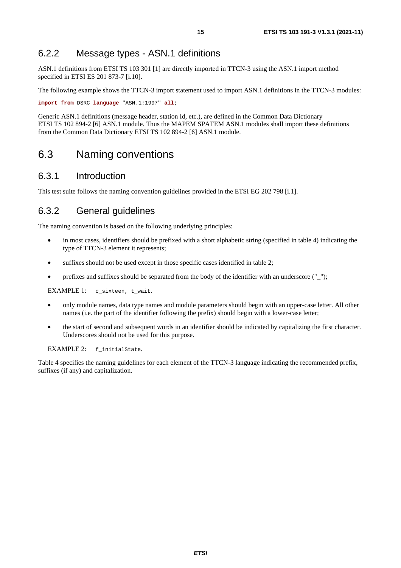### <span id="page-14-0"></span>6.2.2 Message types - ASN.1 definitions

ASN.1 definitions from ETSI TS 103 301 [\[1\]](#page-5-0) are directly imported in TTCN-3 using the ASN.1 import method specified in ETSI ES 201 873-7 [[i.10](#page-6-0)].

The following example shows the TTCN-3 import statement used to import ASN.1 definitions in the TTCN-3 modules:

**import from** DSRC **language** "ASN.1:1997" **all**;

Generic ASN.1 definitions (message header, station Id, etc.), are defined in the Common Data Dictionary ETSI TS 102 894-2 [\[6](#page-5-0)] ASN.1 module. Thus the MAPEM SPATEM ASN.1 modules shall import these definitions from the Common Data Dictionary ETSI TS 102 894-2 [\[6](#page-5-0)] ASN.1 module.

### 6.3 Naming conventions

### 6.3.1 Introduction

This test suite follows the naming convention guidelines provided in the ETSI EG 202 798 [\[i.1](#page-6-0)].

### 6.3.2 General guidelines

The naming convention is based on the following underlying principles:

- in most cases, identifiers should be prefixed with a short alphabetic string (specified in table [4](#page-15-0)) indicating the type of TTCN-3 element it represents;
- suffixes should not be used except in those specific cases identified in table 2;
- prefixes and suffixes should be separated from the body of the identifier with an underscore  $("_")$ ;

EXAMPLE 1: c\_sixteen, t\_wait.

- only module names, data type names and module parameters should begin with an upper-case letter. All other names (i.e. the part of the identifier following the prefix) should begin with a lower-case letter;
- the start of second and subsequent words in an identifier should be indicated by capitalizing the first character. Underscores should not be used for this purpose.

EXAMPLE 2: f\_initialState.

Table [4](#page-15-0) specifies the naming guidelines for each element of the TTCN-3 language indicating the recommended prefix, suffixes (if any) and capitalization.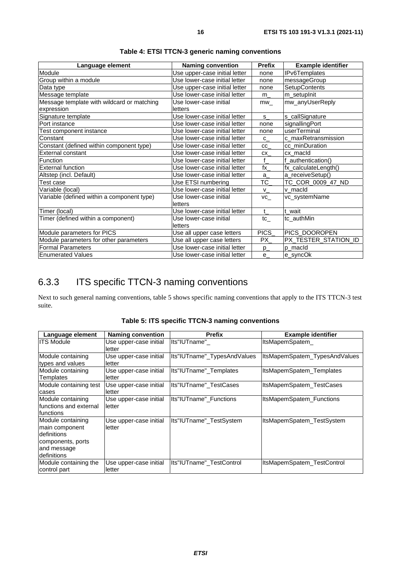<span id="page-15-0"></span>

| Language element                           | <b>Naming convention</b>      | <b>Prefix</b>   | <b>Example identifier</b> |
|--------------------------------------------|-------------------------------|-----------------|---------------------------|
| Module                                     | Use upper-case initial letter | none            | <b>IPv6Templates</b>      |
| Group within a module                      | Use lower-case initial letter | none            | messageGroup              |
| Data type                                  | Use upper-case initial letter | none            | <b>SetupContents</b>      |
| Message template                           | Use lower-case initial letter | $m_{-}$         | m_setupInit               |
| Message template with wildcard or matching | Use lower-case initial        | mw              | mw_anyUserReply           |
| expression                                 | letters                       |                 |                           |
| Signature template                         | Use lower-case initial letter | s               | s_callSignature           |
| Port instance                              | Use lower-case initial letter | none            | signallingPort            |
| Test component instance                    | Use lower-case initial letter | none            | userTerminal              |
| Constant                                   | Use lower-case initial letter | $C_{-}$         | c_maxRetransmission       |
| Constant (defined within component type)   | Use lower-case initial letter | cc              | cc_minDuration            |
| External constant                          | Use lower-case initial letter | CX              | cx macld                  |
| Function                                   | Use lower-case initial letter | f               | f authentication()        |
| <b>External function</b>                   | Use lower-case initial letter | $\mathsf{fx}\_$ | fx_calculateLength()      |
| Altstep (incl. Default)                    | Use lower-case initial letter | $a_{-}$         | a_receiveSetup()          |
| Test case                                  | Use ETSI numbering            | TC_             | TC_COR_0009_47_ND         |
| Variable (local)                           | Use lower-case initial letter | V.              | v macld                   |
| Variable (defined within a component type) | Use lower-case initial        | VC              | vc_systemName             |
|                                            | letters                       |                 |                           |
| Timer (local)                              | Use lower-case initial letter | $\mathsf{t}$    | t wait                    |
| Timer (defined within a component)         | Use lower-case initial        | tc_             | tc_authMin                |
|                                            | letters                       |                 |                           |
| Module parameters for PICS                 | Use all upper case letters    | PICS            | PICS_DOOROPEN             |
| Module parameters for other parameters     | Use all upper case letters    | PX_             | PX_TESTER_STATION_ID      |
| <b>Formal Parameters</b>                   | Use lower-case initial letter | $p_{-}$         | p macld                   |
| <b>Enumerated Values</b>                   | Use lower-case initial letter | $e_{-}$         | e_syncOk                  |

**Table 4: ETSI TTCN-3 generic naming conventions** 

### 6.3.3 ITS specific TTCN-3 naming conventions

Next to such general naming conventions, table 5 shows specific naming conventions that apply to the ITS TTCN-3 test suite.

| Language element                                                                                                    | <b>Naming convention</b>         | <b>Prefix</b>               | <b>Example identifier</b>     |
|---------------------------------------------------------------------------------------------------------------------|----------------------------------|-----------------------------|-------------------------------|
| <b>ITS Module</b>                                                                                                   | Use upper-case initial<br>letter | Its"IUTname"                | ItsMapemSpatem                |
| Module containing<br>types and values                                                                               | Use upper-case initial<br>letter | Its"IUTname"_TypesAndValues | ItsMapemSpatem_TypesAndValues |
| Module containing<br>Templates                                                                                      | Use upper-case initial<br>letter | Its"IUTname" Templates      | ItsMapemSpatem Templates      |
| Module containing test<br>cases                                                                                     | Use upper-case initial<br>letter | Its"IUTname" TestCases      | ItsMapemSpatem_TestCases      |
| Module containing<br>lfunctions and external<br>lfunctions                                                          | Use upper-case initial<br>letter | Its"IUTname" Functions      | ItsMapemSpatem_Functions      |
| Module containing<br>main component<br><b>definitions</b><br>components, ports<br>and message<br><b>definitions</b> | Use upper-case initial<br>letter | Its"IUTname" TestSystem     | ItsMapemSpatem_TestSystem     |
| Module containing the<br>control part                                                                               | Use upper-case initial<br>letter | Its"IUTname"_TestControl    | ItsMapemSpatem_TestControl    |

**Table 5: ITS specific TTCN-3 naming conventions**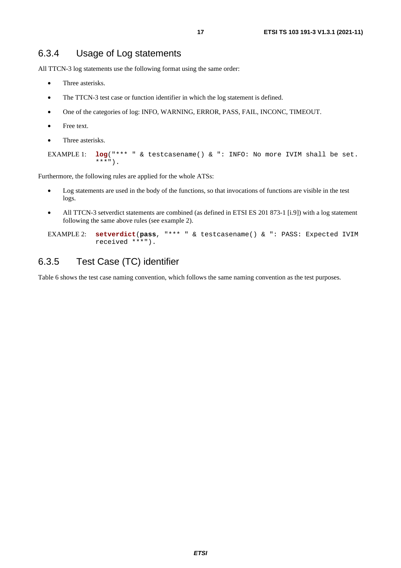### <span id="page-16-0"></span>6.3.4 Usage of Log statements

All TTCN-3 log statements use the following format using the same order:

- Three asterisks.
- The TTCN-3 test case or function identifier in which the log statement is defined.
- One of the categories of log: INFO, WARNING, ERROR, PASS, FAIL, INCONC, TIMEOUT.
- Free text.
- Three asterisks.

```
EXAMPLE 1: log("*** " & testcasename() & ": INFO: No more IVIM shall be set. 
***").
```
Furthermore, the following rules are applied for the whole ATSs:

- Log statements are used in the body of the functions, so that invocations of functions are visible in the test logs.
- All TTCN-3 setverdict statements are combined (as defined in ETSI ES 201 873-1 [[i.9](#page-6-0)]) with a log statement following the same above rules (see example 2).

```
EXAMPLE 2: setverdict(pass, "*** " & testcasename() & ": PASS: Expected IVIM 
received ***").
```
### 6.3.5 Test Case (TC) identifier

Table [6](#page-17-0) shows the test case naming convention, which follows the same naming convention as the test purposes.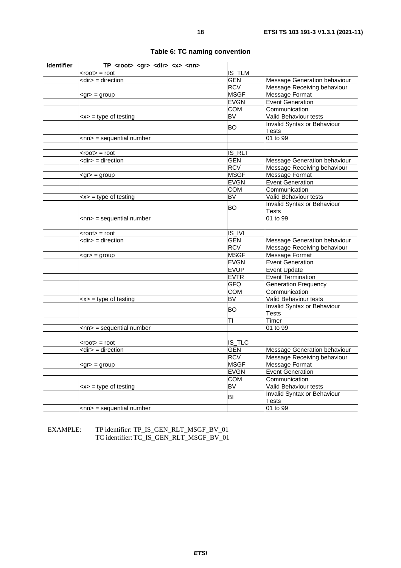<span id="page-17-0"></span>

| Identifier | TP_ <root>_<gr>_<dir>_<x>_<nn></nn></x></dir></gr></root> |             |                                             |
|------------|-----------------------------------------------------------|-------------|---------------------------------------------|
|            | $<$ root $>$ = root                                       | IS_TLM      |                                             |
|            | $\overline{\mathsf{c}}$ direction                         | <b>GEN</b>  | Message Generation behaviour                |
|            |                                                           | <b>RCV</b>  | Message Receiving behaviour                 |
|            | $<$ gr $>$ = group                                        | <b>MSGF</b> | <b>Message Format</b>                       |
|            |                                                           | <b>EVGN</b> | <b>Event Generation</b>                     |
|            |                                                           | <b>COM</b>  | Communication                               |
|            | $\langle x \rangle$ = type of testing                     | <b>BV</b>   | Valid Behaviour tests                       |
|            |                                                           | <b>BO</b>   | Invalid Syntax or Behaviour<br>Tests        |
|            | <nn> = sequential number</nn>                             |             | 01 to 99                                    |
|            |                                                           |             |                                             |
|            | $<$ root $>$ = root                                       | IS_RLT      |                                             |
|            | <dir> = direction</dir>                                   | <b>GEN</b>  | Message Generation behaviour                |
|            |                                                           | <b>RCV</b>  | Message Receiving behaviour                 |
|            | $<$ gr $>$ = group                                        | <b>MSGF</b> | Message Format                              |
|            |                                                           | <b>EVGN</b> | <b>Event Generation</b>                     |
|            |                                                           | <b>COM</b>  | Communication                               |
|            | $< x > 1$ type of testing                                 | <b>BV</b>   | Valid Behaviour tests                       |
|            |                                                           | <b>BO</b>   | Invalid Syntax or Behaviour                 |
|            |                                                           |             | Tests                                       |
|            | $\leq$ nn> = sequential number                            |             | 01 to 99                                    |
|            |                                                           |             |                                             |
|            | $<$ root $>$ = root                                       | IS_IVI      |                                             |
|            | $\langle$ dir $\rangle$ = direction                       | <b>GEN</b>  | Message Generation behaviour                |
|            |                                                           | <b>RCV</b>  | Message Receiving behaviour                 |
|            | $\langle \text{gr} \rangle = \text{group}$                | <b>MSGF</b> | Message Format                              |
|            |                                                           | <b>EVGN</b> | <b>Event Generation</b>                     |
|            |                                                           | <b>EVUP</b> | <b>Event Update</b>                         |
|            |                                                           | <b>EVTR</b> | <b>Event Termination</b>                    |
|            |                                                           | <b>GFQ</b>  | <b>Generation Frequency</b>                 |
|            |                                                           | <b>COM</b>  | Communication                               |
|            | $< x > 1$ type of testing                                 | <b>BV</b>   | Valid Behaviour tests                       |
|            |                                                           | <b>BO</b>   | Invalid Syntax or Behaviour<br>Tests        |
|            |                                                           | TI          | Timer                                       |
|            | $<$ nn> = sequential number                               |             | 01 to 99                                    |
|            |                                                           |             |                                             |
|            | $<$ root $>$ = root                                       | IS_TLC      |                                             |
|            | <dir> = direction</dir>                                   | <b>GEN</b>  | Message Generation behaviour                |
|            |                                                           | <b>RCV</b>  | Message Receiving behaviour                 |
|            | $\leq$ gr $>$ = group                                     | MSGF        | Message Format                              |
|            |                                                           | <b>EVGN</b> | <b>Event Generation</b>                     |
|            |                                                           | <b>COM</b>  | Communication                               |
|            | $\langle x \rangle$ = type of testing                     | <b>BV</b>   | Valid Behaviour tests                       |
|            |                                                           | BI          | Invalid Syntax or Behaviour<br><b>Tests</b> |
|            | $\langle$ nn> = sequential number                         |             | 01 to 99                                    |
|            |                                                           |             |                                             |

**Table 6: TC naming convention** 

EXAMPLE: TP identifier: TP\_IS\_GEN\_RLT\_MSGF\_BV\_01 TC identifier: TC\_IS\_GEN\_RLT\_MSGF\_BV\_01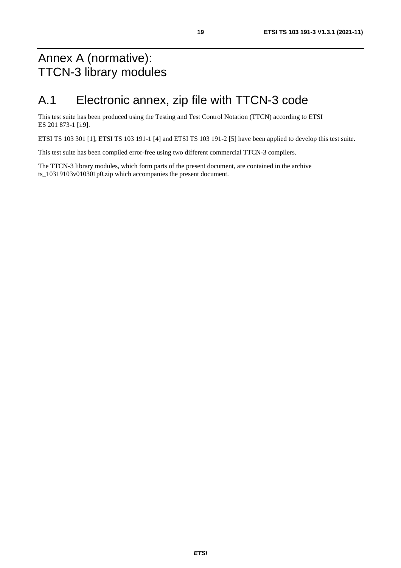# <span id="page-18-0"></span>Annex A (normative): TTCN-3 library modules

# A.1 Electronic annex, zip file with TTCN-3 code

This test suite has been produced using the Testing and Test Control Notation (TTCN) according to ETSI ES 201 873-1 [\[i.9](#page-6-0)].

ETSI TS 103 301 [[1\]](#page-5-0), ETSI TS 103 191-1 [\[4](#page-5-0)] and ETSI TS 103 191-2 [[5\]](#page-5-0) have been applied to develop this test suite.

This test suite has been compiled error-free using two different commercial TTCN-3 compilers.

The TTCN-3 library modules, which form parts of the present document, are contained in the archive ts 10319103v010301p0.zip which accompanies the present document.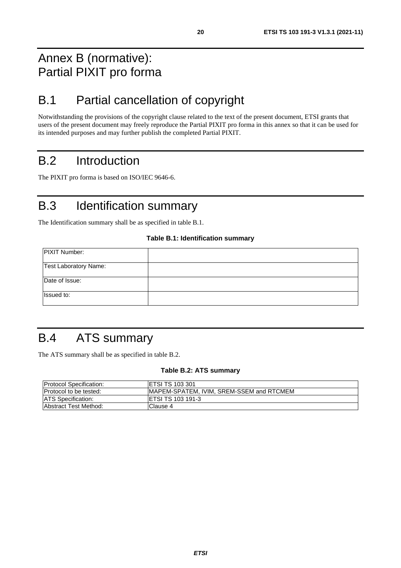# <span id="page-19-0"></span>Annex B (normative): Partial PIXIT pro forma

# B.1 Partial cancellation of copyright

Notwithstanding the provisions of the copyright clause related to the text of the present document, ETSI grants that users of the present document may freely reproduce the Partial PIXIT pro forma in this annex so that it can be used for its intended purposes and may further publish the completed Partial PIXIT.

# B.2 Introduction

The PIXIT pro forma is based on ISO/IEC 9646-6.

# B.3 Identification summary

The Identification summary shall be as specified in table B.1.

#### **Table B.1: Identification summary**

| <b>PIXIT Number:</b>         |  |
|------------------------------|--|
| <b>Test Laboratory Name:</b> |  |
| Date of Issue:               |  |
| Issued to:                   |  |

# B.4 ATS summary

The ATS summary shall be as specified in table B.2.

#### **Table B.2: ATS summary**

| <b>Protocol Specification:</b> | <b>IETSI TS 103 301</b>                   |
|--------------------------------|-------------------------------------------|
| <b>Protocol to be tested:</b>  | IMAPEM-SPATEM, IVIM, SREM-SSEM and RTCMEM |
| <b>ATS</b> Specification:      | <b>IETSI TS 103 191-3</b>                 |
| <b>Abstract Test Method:</b>   | Clause 4                                  |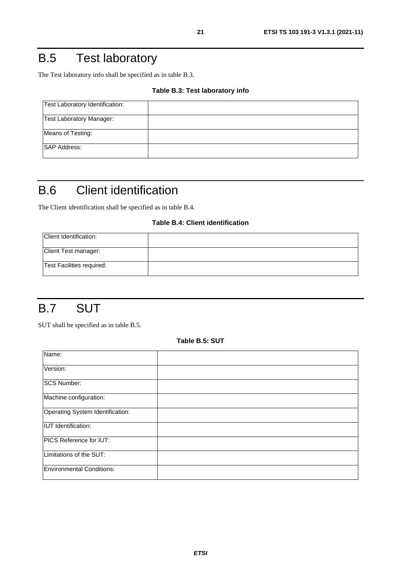# <span id="page-20-0"></span>B.5 Test laboratory

The Test laboratory info shall be specified as in table B.3.

#### **Table B.3: Test laboratory info**

| Test Laboratory Identification: |  |
|---------------------------------|--|
| <b>Test Laboratory Manager:</b> |  |
| Means of Testing:               |  |
| <b>SAP Address:</b>             |  |

# B.6 Client identification

The Client identification shall be specified as in table B.4.

### **Table B.4: Client identification**

| Client Identification:    |  |
|---------------------------|--|
| Client Test manager:      |  |
| Test Facilities required: |  |

# B.7 SUT

SUT shall be specified as in table B.5.

**Table B.5: SUT** 

| Name:                            |  |
|----------------------------------|--|
| Version:                         |  |
| <b>SCS Number:</b>               |  |
| Machine configuration:           |  |
| Operating System Identification: |  |
| <b>IUT</b> Identification:       |  |
| PICS Reference for IUT:          |  |
| Limitations of the SUT:          |  |
| Environmental Conditions:        |  |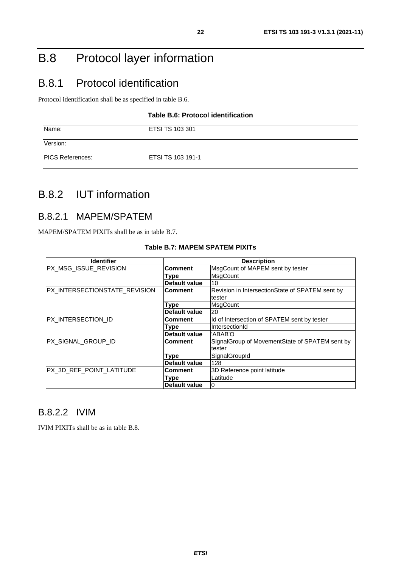# <span id="page-21-0"></span>B.8 Protocol layer information

# B.8.1 Protocol identification

Protocol identification shall be as specified in table B.6.

### **Table B.6: Protocol identification**

| Name:                   | <b>IETSI TS 103 301</b>   |
|-------------------------|---------------------------|
| Version:                |                           |
| <b>PICS References:</b> | <b>IETSI TS 103 191-1</b> |

### B.8.2 IUT information

### B.8.2.1 MAPEM/SPATEM

MAPEM/SPATEM PIXITs shall be as in table B.7.

| <b>Identifier</b>             | <b>Description</b>   |                                                  |
|-------------------------------|----------------------|--------------------------------------------------|
| PX_MSG_ISSUE_REVISION         | Comment              | MsgCount of MAPEM sent by tester                 |
|                               | Type                 | <b>MsgCount</b>                                  |
|                               | <b>Default value</b> | 10                                               |
| PX_INTERSECTIONSTATE_REVISION | <b>Comment</b>       | Revision in IntersectionState of SPATEM sent by  |
|                               |                      | tester                                           |
|                               | Type                 | MsgCount                                         |
|                               | <b>Default value</b> | 20                                               |
| PX_INTERSECTION_ID            | Comment              | Id of Intersection of SPATEM sent by tester      |
|                               | Type                 | IntersectionId                                   |
|                               | <b>Default value</b> | 'ABAB'O                                          |
| PX_SIGNAL_GROUP_ID            | <b>Comment</b>       | Signal Group of Movement State of SPATEM sent by |
|                               |                      | tester                                           |
|                               | Type                 | SignalGroupId                                    |
|                               | <b>Default value</b> | 128                                              |
| PX_3D_REF_POINT_LATITUDE      | Comment              | 3D Reference point latitude                      |
|                               | Type                 | Latitude                                         |
|                               | <b>Default value</b> |                                                  |

### **Table B.7: MAPEM SPATEM PIXITs**

### B.8.2.2 IVIM

IVIM PIXITs shall be as in table B.8.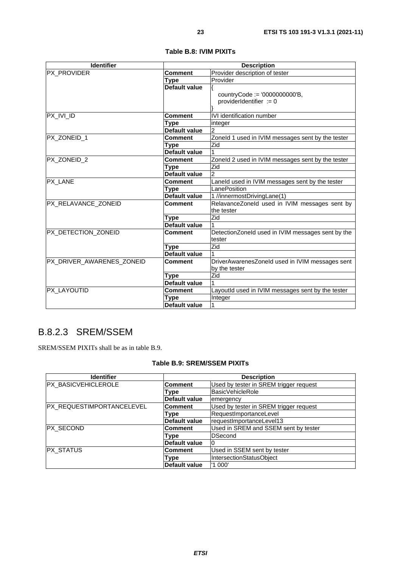<span id="page-22-0"></span>

| <b>Identifier</b>         | <b>Description</b>   |                                                             |
|---------------------------|----------------------|-------------------------------------------------------------|
| PX_PROVIDER               | Comment              | Provider description of tester                              |
|                           | Type                 | Provider                                                    |
|                           | Default value        |                                                             |
|                           |                      | countryCode := $'0000000000'B$ ,                            |
|                           |                      | providerIdentifier $:= 0$                                   |
|                           |                      |                                                             |
| $PX_IVLID$                | Comment              | IVI identification number                                   |
|                           | Type                 | integer                                                     |
|                           | Default value        | $\overline{c}$                                              |
| PX_ZONEID_1               | Comment              | Zoneld 1 used in IVIM messages sent by the tester           |
|                           | Type                 | Zid                                                         |
|                           | Default value        |                                                             |
| PX ZONEID 2               | <b>Comment</b>       | Zoneld 2 used in IVIM messages sent by the tester           |
|                           | Type                 | Zid                                                         |
|                           | Default value        | $\overline{2}$                                              |
| PX_LANE                   | Comment              | Laneld used in IVIM messages sent by the tester             |
|                           | Type                 | LanePosition                                                |
|                           | Default value        | 1 //innermostDrivingLane(1)                                 |
| PX_RELAVANCE_ZONEID       | Comment              | RelavanceZoneId used in IVIM messages sent by               |
|                           |                      | the tester                                                  |
|                           | Type                 | Zid                                                         |
|                           | <b>Default value</b> |                                                             |
| PX DETECTION ZONEID       | <b>Comment</b>       | DetectionZoneId used in IVIM messages sent by the<br>tester |
|                           | Type                 | Zid                                                         |
|                           | Default value        |                                                             |
| PX DRIVER AWARENES ZONEID | <b>Comment</b>       | DriverAwarenesZoneId used in IVIM messages sent             |
|                           |                      | by the tester                                               |
|                           | <b>Type</b>          | Zid                                                         |
|                           | Default value        |                                                             |
| PX_LAYOUTID               | Comment              | LayoutId used in IVIM messages sent by the tester           |
|                           | <b>Type</b>          | Integer                                                     |
|                           | Default value        | 1                                                           |

#### **Table B.8: IVIM PIXITs**

### B.8.2.3 SREM/SSEM

SREM/SSEM PIXITs shall be as in table B.9.

### **Table B.9: SREM/SSEM PIXITs**

| <b>Identifier</b>         | <b>Description</b>   |                                        |
|---------------------------|----------------------|----------------------------------------|
| PX_BASICVEHICLEROLE       | Comment              | Used by tester in SREM trigger request |
|                           | Type                 | BasicVehicleRole                       |
|                           | <b>Default value</b> | emergency                              |
| PX_REQUESTIMPORTANCELEVEL | <b>Comment</b>       | Used by tester in SREM trigger request |
|                           | Type                 | RequestImportanceLevel                 |
|                           | <b>Default value</b> | requestImportanceLevel13               |
| <b>PX SECOND</b>          | <b>Comment</b>       | Used in SREM and SSEM sent by tester   |
|                           | Type                 | <b>DSecond</b>                         |
|                           | <b>Default value</b> |                                        |
| PX_STATUS                 | <b>Comment</b>       | Used in SSEM sent by tester            |
|                           | Type                 | IntersectionStatusObject               |
|                           | Default value        | '1 000'                                |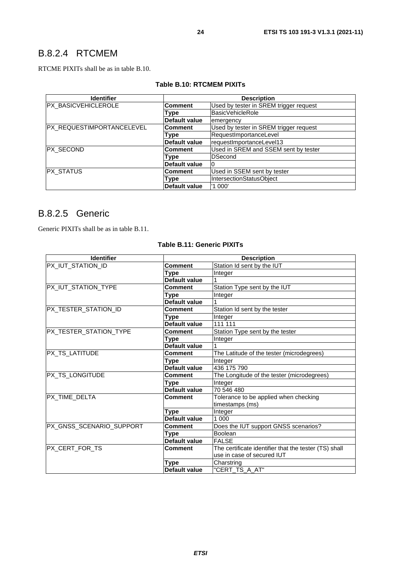### <span id="page-23-0"></span>B.8.2.4 RTCMEM

RTCME PIXITs shall be as in table B.10.

| Table B.10: RTCMEM PIXITs |
|---------------------------|
|---------------------------|

| <b>Identifier</b>         | <b>Description</b>   |                                        |  |  |
|---------------------------|----------------------|----------------------------------------|--|--|
| PX_BASICVEHICLEROLE       | <b>Comment</b>       | Used by tester in SREM trigger request |  |  |
|                           | Type                 | BasicVehicleRole                       |  |  |
|                           | Default value        | emergency                              |  |  |
| PX_REQUESTIMPORTANCELEVEL | <b>Comment</b>       | Used by tester in SREM trigger request |  |  |
|                           | Type                 | RequestImportanceLevel                 |  |  |
|                           | Default value        | requestImportanceLevel13               |  |  |
| <b>PX SECOND</b>          | Comment              | Used in SREM and SSEM sent by tester   |  |  |
|                           | Type                 | <b>DSecond</b>                         |  |  |
|                           | <b>Default value</b> |                                        |  |  |
| <b>PX_STATUS</b>          | <b>Comment</b>       | Used in SSEM sent by tester            |  |  |
|                           | Type                 | IntersectionStatusObject               |  |  |
|                           | Default value        | '1 000'                                |  |  |

### B.8.2.5 Generic

Generic PIXITs shall be as in table B.11.

### **Table B.11: Generic PIXITs**

| <b>Identifier</b>        | <b>Description</b> |                                                       |  |  |
|--------------------------|--------------------|-------------------------------------------------------|--|--|
| PX_IUT_STATION_ID        | <b>Comment</b>     | Station Id sent by the IUT                            |  |  |
|                          | Type               | Integer                                               |  |  |
|                          | Default value      |                                                       |  |  |
| PX_IUT_STATION_TYPE      | <b>Comment</b>     | Station Type sent by the IUT                          |  |  |
|                          | Type               | Integer                                               |  |  |
|                          | Default value      |                                                       |  |  |
| PX_TESTER_STATION_ID     | <b>Comment</b>     | Station Id sent by the tester                         |  |  |
|                          | Type               | Integer                                               |  |  |
|                          | Default value      | 111 111                                               |  |  |
| PX_TESTER_STATION_TYPE   | <b>Comment</b>     | Station Type sent by the tester                       |  |  |
|                          | Type               | Integer                                               |  |  |
|                          | Default value      |                                                       |  |  |
| PX_TS_LATITUDE           | <b>Comment</b>     | The Latitude of the tester (microdegrees)             |  |  |
|                          | Type               | Integer                                               |  |  |
|                          | Default value      | 436 175 790                                           |  |  |
| PX_TS_LONGITUDE          | Comment            | The Longitude of the tester (microdegrees)            |  |  |
|                          | Type               | Integer                                               |  |  |
|                          | Default value      | 70 546 480                                            |  |  |
| PX_TIME_DELTA            | <b>Comment</b>     | Tolerance to be applied when checking                 |  |  |
|                          |                    | timestamps (ms)                                       |  |  |
|                          | Type               | Integer                                               |  |  |
|                          | Default value      | 1 000                                                 |  |  |
| PX_GNSS_SCENARIO_SUPPORT | <b>Comment</b>     | Does the IUT support GNSS scenarios?                  |  |  |
|                          | Type               | Boolean                                               |  |  |
|                          | Default value      | <b>FALSE</b>                                          |  |  |
| PX_CERT_FOR_TS           | <b>Comment</b>     | The certificate identifier that the tester (TS) shall |  |  |
|                          |                    | use in case of secured IUT                            |  |  |
|                          | Type               | Charstring                                            |  |  |
|                          | Default value      | "CERT_TS_A_AT"                                        |  |  |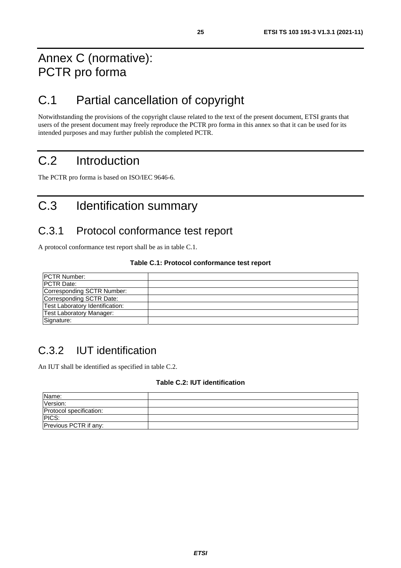# <span id="page-24-0"></span>Annex C (normative): PCTR pro forma

# C.1 Partial cancellation of copyright

Notwithstanding the provisions of the copyright clause related to the text of the present document, ETSI grants that users of the present document may freely reproduce the PCTR pro forma in this annex so that it can be used for its intended purposes and may further publish the completed PCTR.

# C.2 Introduction

The PCTR pro forma is based on ISO/IEC 9646-6.

# C.3 Identification summary

### C.3.1 Protocol conformance test report

A protocol conformance test report shall be as in table C.1.

#### **Table C.1: Protocol conformance test report**

| <b>IPCTR Number:</b>            |  |
|---------------------------------|--|
| <b>PCTR Date:</b>               |  |
| Corresponding SCTR Number:      |  |
| Corresponding SCTR Date:        |  |
| Test Laboratory Identification: |  |
| <b>Test Laboratory Manager:</b> |  |
| Signature:                      |  |

# C.3.2 IUT identification

An IUT shall be identified as specified in table C.2.

#### **Table C.2: IUT identification**

| Name:                   |  |
|-------------------------|--|
| Version:                |  |
| Protocol specification: |  |
| PICS:                   |  |
| Previous PCTR if any:   |  |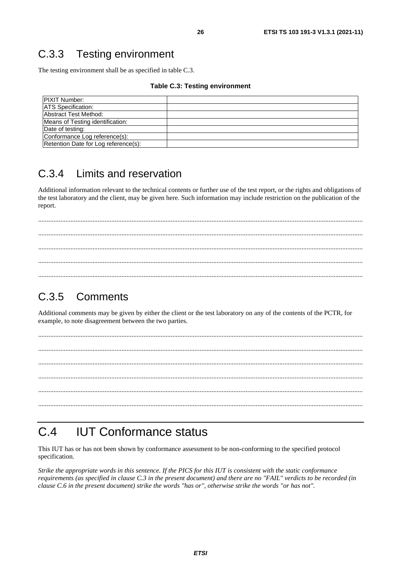# <span id="page-25-0"></span>C.3.3 Testing environment

The testing environment shall be as specified in table C.3.

#### **Table C.3: Testing environment**

| <b>PIXIT Number:</b>                 |  |
|--------------------------------------|--|
| <b>ATS</b> Specification:            |  |
| Abstract Test Method:                |  |
| Means of Testing identification:     |  |
| Date of testing:                     |  |
| Conformance Log reference(s):        |  |
| Retention Date for Log reference(s): |  |

### C.3.4 Limits and reservation

Additional information relevant to the technical contents or further use of the test report, or the rights and obligations of the test laboratory and the client, may be given here. Such information may include restriction on the publication of the report.

 ............................................................................................................................................................................................... ............................................................................................................................................................................................... ...............................................................................................................................................................................................

# C.3.5 Comments

Additional comments may be given by either the client or the test laboratory on any of the contents of the PCTR, for example, to note disagreement between the two parties.

 ............................................................................................................................................................................................... ............................................................................................................................................................................................... ............................................................................................................................................................................................... ............................................................................................................................................................................................... ...............................................................................................................................................................................................

# C.4 IUT Conformance status

This IUT has or has not been shown by conformance assessment to be non-conforming to the specified protocol specification.

*Strike the appropriate words in this sentence. If the PICS for this IUT is consistent with the static conformance requirements (as specified in clause C.3 in the present document) and there are no "FAIL" verdicts to be recorded (in clause C.6 in the present document) strike the words "has or", otherwise strike the words "or has not".*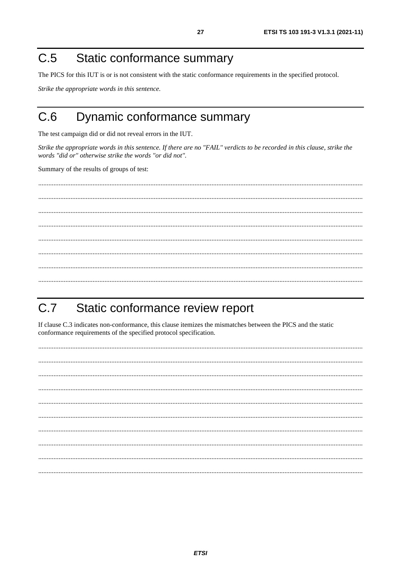#### <span id="page-26-0"></span>Static conformance summary  $C.5$

The PICS for this IUT is or is not consistent with the static conformance requirements in the specified protocol.

Strike the appropriate words in this sentence.

#### Dynamic conformance summary  $C<sub>6</sub>$

The test campaign did or did not reveal errors in the IUT.

Strike the appropriate words in this sentence. If there are no "FAIL" verdicts to be recorded in this clause, strike the words "did or" otherwise strike the words "or did not".

Summary of the results of groups of test:

#### Static conformance review report  $C.7$

If clause C.3 indicates non-conformance, this clause itemizes the mismatches between the PICS and the static conformance requirements of the specified protocol specification.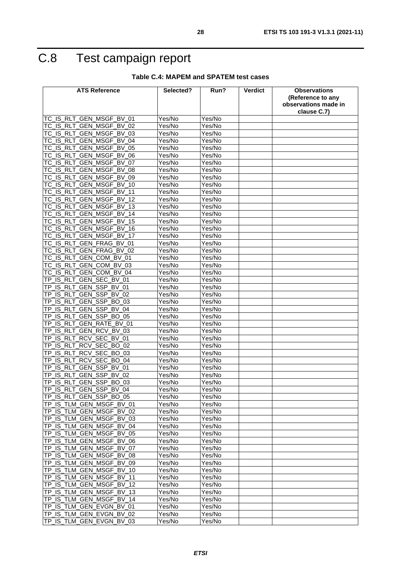# <span id="page-27-0"></span>C.8 Test campaign report

#### **Table C.4: MAPEM and SPATEM test cases**

| <b>ATS Reference</b>                                           | Selected?        | Run?             | <b>Verdict</b> | <b>Observations</b><br>(Reference to any<br>observations made in |
|----------------------------------------------------------------|------------------|------------------|----------------|------------------------------------------------------------------|
|                                                                |                  |                  |                | clause C.7)                                                      |
| TC_IS_RLT_GEN_MSGF_BV_01                                       | Yes/No           | Yes/No           |                |                                                                  |
| TC IS RLT GEN MSGF BV 02                                       | Yes/No           | Yes/No           |                |                                                                  |
| GEN MSGF_BV_03<br>TC IS RLT                                    | Yes/No           | Yes/No           |                |                                                                  |
| TC_IS_RLT_GEN_MSGF_BV_04                                       | Yes/No           | Yes/No           |                |                                                                  |
| TC_IS_RLT_GEN_MSGF_BV_05                                       | Yes/No           | Yes/No           |                |                                                                  |
| <b>IS RLT</b><br><b>GEN MSGF BV</b><br>ТC<br>06                | Yes/No           | Yes/No           |                |                                                                  |
| TC_IS_RLT_GEN_MSGF_BV_07                                       | Yes/No           | Yes/No           |                |                                                                  |
| TC_IS_RLT_GEN_MSGF_BV_08<br><b>GEN MSGF BV</b>                 | Yes/No           | Yes/No           |                |                                                                  |
| TC_IS_RLT<br>09<br>TC_IS_RLT_GEN_MSGF_BV_10                    | Yes/No           | Yes/No           |                |                                                                  |
| TC_IS_RLT<br>GEN MSGF BV 11                                    | Yes/No<br>Yes/No | Yes/No           |                |                                                                  |
| TC_IS_RLT_GEN_MSGF_BV_12                                       | Yes/No           | Yes/No<br>Yes/No |                |                                                                  |
|                                                                |                  |                  |                |                                                                  |
| TC_IS_RLT_GEN_MSGF_BV_13<br>GEN MSGF BV<br><b>IS RLT</b><br>14 | Yes/No<br>Yes/No | Yes/No<br>Yes/No |                |                                                                  |
| ТC<br>IS RLT GEN MSGF BV 15<br><b>TC</b>                       | Yes/No           | Yes/No           |                |                                                                  |
| TC_IS_RLT_GEN_MSGF_BV_16                                       | Yes/No           | Yes/No           |                |                                                                  |
| <b>TC</b><br>IS RLT GEN MSGF BV 17                             | Yes/No           | Yes/No           |                |                                                                  |
| TC_IS_RLT_GEN_FRAG_BV_01                                       | Yes/No           | Yes/No           |                |                                                                  |
| GEN FRAG BV 02<br><b>IS RLT</b><br>ТC                          | Yes/No           | Yes/No           |                |                                                                  |
| <b>IS RLT</b><br>GEN COM BV 01<br>ТC                           | Yes/No           | Yes/No           |                |                                                                  |
| TC IS RLT GEN COM BV 03                                        | Yes/No           | Yes/No           |                |                                                                  |
| IS RLT_GEN_COM_BV_04<br>ТC                                     | Yes/No           | Yes/No           |                |                                                                  |
| TP_IS_RLT_GEN_SEC_BV_01                                        | Yes/No           | Yes/No           |                |                                                                  |
| IS_RLT_GEN_SSP_BV_01<br>TP.                                    | Yes/No           | Yes/No           |                |                                                                  |
| IS RLT GEN SSP BV 02<br>TP.                                    | Yes/No           | Yes/No           |                |                                                                  |
| TP_IS_RLT_GEN_SSP_BO_03                                        | Yes/No           | Yes/No           |                |                                                                  |
| <b>IS RLT</b><br>GEN SSP BV 04<br>TP                           | Yes/No           | Yes/No           |                |                                                                  |
| IS_RLT_GEN_SSP_BO_05<br><b>TP</b>                              | Yes/No           | Yes/No           |                |                                                                  |
| IS RLT_GEN_RATE_BV_01<br>TP                                    | Yes/No           | Yes/No           |                |                                                                  |
| IS RLT<br>GEN RCV BV 03<br>TP                                  | Yes/No           | Yes/No           |                |                                                                  |
| TP_IS_RLT_RCV_SEC_BV_01                                        | Yes/No           | Yes/No           |                |                                                                  |
| IS RLT<br><b>RCV</b><br>SEC BO 02<br>TP                        | Yes/No           | Yes/No           |                |                                                                  |
| IS RLT<br>RCV SEC BO 03<br>TP                                  | Yes/No           | Yes/No           |                |                                                                  |
| IS_RLT_RCV_SEC_BO_04<br>TP                                     | Yes/No           | Yes/No           |                |                                                                  |
| TP_IS_RLT_GEN_SSP_BV_01                                        | Yes/No           | Yes/No           |                |                                                                  |
| TP_IS_RLT_GEN_SSP_BV_02                                        | Yes/No           | Yes/No           |                |                                                                  |
| TP_IS_RLT_GEN_SSP_BO_03                                        | Yes/No           | Yes/No           |                |                                                                  |
| TP IS RLT GEN SSP BV 04                                        | Yes/No           | Yes/No           |                |                                                                  |
| TP_IS_RLT_GEN_SSP_BO_05                                        | Yes/No           | Yes/No           |                |                                                                  |
| TP_IS_TLM_GEN_MSGF_BV_01                                       | Yes/No           | Yes/No           |                |                                                                  |
| TP_IS_TLM_GEN_MSGF_BV_02                                       | Yes/No           | Yes/No           |                |                                                                  |
| TP IS TLM GEN MSGF BV 03                                       | Yes/No           | Yes/No           |                |                                                                  |
| TP_IS_TLM_GEN_MSGF_BV_04                                       | Yes/No           | Yes/No           |                |                                                                  |
| TP_IS_TLM_GEN_MSGF_BV_05                                       | Yes/No           | Yes/No           |                |                                                                  |
| TP_IS_TLM_GEN_MSGF_BV_06                                       | Yes/No           | Yes/No           |                |                                                                  |
| TP_IS_TLM_GEN_MSGF_BV_07                                       | Yes/No           | Yes/No           |                |                                                                  |
| TP_IS_TLM_GEN_MSGF_BV_08                                       | Yes/No           | Yes/No           |                |                                                                  |
| TP_IS_TLM_GEN_MSGF_BV_09                                       | Yes/No           | Yes/No           |                |                                                                  |
| TP_IS_TLM_GEN_MSGF_BV_10                                       | Yes/No           | Yes/No           |                |                                                                  |
| TP_IS_TLM_GEN_MSGF_BV_11                                       | Yes/No           | Yes/No           |                |                                                                  |
| TP_IS_TLM_GEN_MSGF_BV_12                                       | Yes/No           | Yes/No           |                |                                                                  |
| TP_IS_TLM_GEN_MSGF_BV_13                                       | Yes/No           | Yes/No           |                |                                                                  |
| TP_IS_TLM_GEN_MSGF_BV_14                                       | Yes/No           | Yes/No           |                |                                                                  |
| TP_IS_TLM_GEN_EVGN_BV_01                                       | Yes/No           | Yes/No           |                |                                                                  |
| TP_IS_TLM_GEN_EVGN_BV_02                                       | Yes/No           | Yes/No           |                |                                                                  |
| TP_IS_TLM_GEN_EVGN_BV_03                                       | Yes/No           | Yes/No           |                |                                                                  |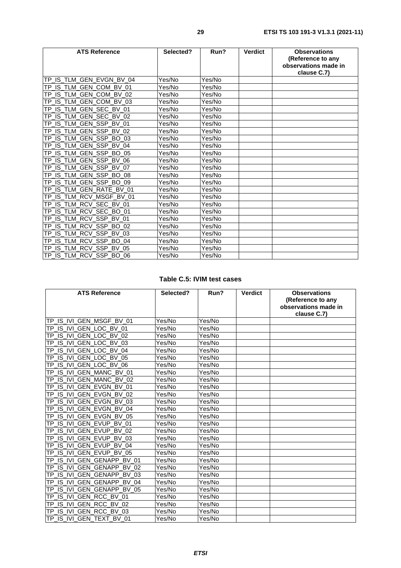| <b>ATS Reference</b>                | Selected? | Run?   | <b>Verdict</b> | <b>Observations</b><br>(Reference to any<br>observations made in<br>clause C.7) |
|-------------------------------------|-----------|--------|----------------|---------------------------------------------------------------------------------|
| TP_IS_TLM_GEN_EVGN_BV_04            | Yes/No    | Yes/No |                |                                                                                 |
| TP IS TLM GEN COM BV 01             | Yes/No    | Yes/No |                |                                                                                 |
| IS TLM GEN COM BV 02<br>TP          | Yes/No    | Yes/No |                |                                                                                 |
| TP IS TLM GEN COM BV 03             | Yes/No    | Yes/No |                |                                                                                 |
| TP_IS_TLM_GEN_SEC_BV_01             | Yes/No    | Yes/No |                |                                                                                 |
| TP_IS_TLM_GEN_SEC_BV_02             | Yes/No    | Yes/No |                |                                                                                 |
| TP_IS_TLM_GEN_SSP_BV_01             | Yes/No    | Yes/No |                |                                                                                 |
| TP_IS_TLM_GEN_SSP_BV_02             | Yes/No    | Yes/No |                |                                                                                 |
| TP_IS_TLM_GEN_SSP_BO_03             | Yes/No    | Yes/No |                |                                                                                 |
| TP_IS_TLM_GEN_SSP_BV_04             | Yes/No    | Yes/No |                |                                                                                 |
| TP_IS_TLM_GEN_SSP_BO_05             | Yes/No    | Yes/No |                |                                                                                 |
| TP_IS_TLM_GEN_SSP_BV_06             | Yes/No    | Yes/No |                |                                                                                 |
| TP_IS_TLM_GEN_SSP_BV_07             | Yes/No    | Yes/No |                |                                                                                 |
| TP_IS_TLM_GEN_SSP_BO_08             | Yes/No    | Yes/No |                |                                                                                 |
| TP_IS_TLM_GEN_SSP_BO_09             | Yes/No    | Yes/No |                |                                                                                 |
| _IS_TLM_GEN_RATE_BV_01<br><b>TP</b> | Yes/No    | Yes/No |                |                                                                                 |
| TP IS TLM RCV MSGF BV 01            | Yes/No    | Yes/No |                |                                                                                 |
| TP_IS_TLM_RCV_SEC_BV_01             | Yes/No    | Yes/No |                |                                                                                 |
| TP_IS_TLM_RCV_SEC_BO_01             | Yes/No    | Yes/No |                |                                                                                 |
| TP_IS_TLM_RCV_SSP_BV_01             | Yes/No    | Yes/No |                |                                                                                 |
| TP_IS_TLM_RCV_SSP_BO_02             | Yes/No    | Yes/No |                |                                                                                 |
| TP_IS_TLM_RCV_SSP_BV_03             | Yes/No    | Yes/No |                |                                                                                 |
| TP_IS_TLM_RCV_SSP_BO_04             | Yes/No    | Yes/No |                |                                                                                 |
| TP_IS_TLM_RCV_SSP_BV_05             | Yes/No    | Yes/No |                |                                                                                 |
| TP IS TLM RCV SSP BO 06             | Yes/No    | Yes/No |                |                                                                                 |

### **Table C.5: IVIM test cases**

| <b>ATS Reference</b>                    | Selected? | Run?                 | <b>Verdict</b> | <b>Observations</b><br>(Reference to any<br>observations made in<br>clause C.7) |
|-----------------------------------------|-----------|----------------------|----------------|---------------------------------------------------------------------------------|
| TP IS IVI GEN MSGF BV 01                | Yes/No    | Yes/No               |                |                                                                                 |
| TP_IS_IVI_GEN_LOC_BV_01                 | Yes/No    | Yes/No               |                |                                                                                 |
| IS IVI GEN LOC BV 02<br><b>TP</b>       | Yes/No    | Yes/No               |                |                                                                                 |
| TP_IS_IVI_GEN_LOC_BV_03                 | Yes/No    | $\overline{Y}$ es/No |                |                                                                                 |
| IS IVI GEN LOC BV 04<br><b>TP</b>       | Yes/No    | Yes/No               |                |                                                                                 |
| IS IVI GEN LOC BV 05<br>TP              | Yes/No    | Yes/No               |                |                                                                                 |
| IS IVI GEN LOC BV 06<br>TP              | Yes/No    | Yes/No               |                |                                                                                 |
| IS IVI GEN MANC BV 01<br>ТP             | Yes/No    | Yes/No               |                |                                                                                 |
| IS IVI GEN MANC BV 02<br>TP             | Yes/No    | Yes/No               |                |                                                                                 |
| TP IS IVI GEN EVGN BV 01                | Yes/No    | Yes/No               |                |                                                                                 |
| TP IS IVI GEN EVGN BV 02                | Yes/No    | Yes/No               |                |                                                                                 |
| IS IVI GEN EVGN BV 03<br>TP             | Yes/No    | Yes/No               |                |                                                                                 |
| IS IVI GEN EVGN BV 04<br><b>TP</b>      | Yes/No    | Yes/No               |                |                                                                                 |
| TP_IS_IVI_GEN_EVGN_BV_05                | Yes/No    | Yes/No               |                |                                                                                 |
| IS IVI GEN EVUP BV 01<br><b>TP</b>      | Yes/No    | Yes/No               |                |                                                                                 |
| IS IVI GEN EVUP BV 02<br>TP             | Yes/No    | Yes/No               |                |                                                                                 |
| TP_IS_IVI_GEN_EVUP_BV_03                | Yes/No    | Yes/No               |                |                                                                                 |
| IS IVI GEN EVUP BV 04<br>TP             | Yes/No    | Yes/No               |                |                                                                                 |
| TP_IS_IVI_GEN_EVUP_BV_05                | Yes/No    | Yes/No               |                |                                                                                 |
| TP_IS_IVI_GEN_GENAPP_BV_01              | Yes/No    | Yes/No               |                |                                                                                 |
| IS IVI GEN GENAPP<br>BV 02<br><b>TP</b> | Yes/No    | Yes/No               |                |                                                                                 |
| IS IVI GEN GENAPP BV 03<br>TP           | Yes/No    | Yes/No               |                |                                                                                 |
| TP_IS_IVI_GEN_GENAPP_BV_04              | Yes/No    | Yes/No               |                |                                                                                 |
| IS IVI GEN GENAPP BV 05<br>TP           | Yes/No    | Yes/No               |                |                                                                                 |
| IS IVI GEN RCC BV 01<br><b>TP</b>       | Yes/No    | Yes/No               |                |                                                                                 |
| TP_IS_IVI_GEN_RCC_BV_02                 | Yes/No    | Yes/No               |                |                                                                                 |
| IS IVI GEN RCC BV 03<br>TP              | Yes/No    | Yes/No               |                |                                                                                 |
| TP IS IVI GEN TEXT BV 01                | Yes/No    | Yes/No               |                |                                                                                 |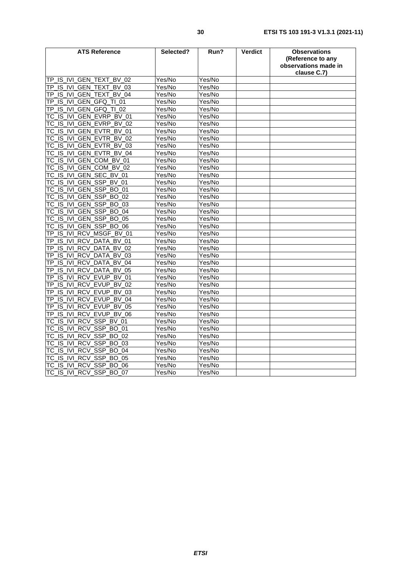| <b>ATS Reference</b>                               | Selected? | Run?   | <b>Verdict</b> | <b>Observations</b><br>(Reference to any<br>observations made in<br>clause C.7) |
|----------------------------------------------------|-----------|--------|----------------|---------------------------------------------------------------------------------|
| TP IS IVI GEN TEXT BV 02                           | Yes/No    | Yes/No |                |                                                                                 |
| TP IS IVI GEN TEXT<br>BV 03                        | Yes/No    | Yes/No |                |                                                                                 |
| IS IVI GEN TEXT<br><b>BV 04</b><br>TP.             | Yes/No    | Yes/No |                |                                                                                 |
| _IS_IVI_GEN_GFQ_TI_01<br>TP                        | Yes/No    | Yes/No |                |                                                                                 |
| IS IVI GEN GFQ TI 02<br>ΤP                         | Yes/No    | Yes/No |                |                                                                                 |
| IS IVI<br>GEN EVRP BV 01<br>ТC                     | Yes/No    | Yes/No |                |                                                                                 |
| TC IS IVI GEN EVRP BV 02                           | Yes/No    | Yes/No |                |                                                                                 |
| IS IVI GEN EVTR BV 01<br>ТC                        | Yes/No    | Yes/No |                |                                                                                 |
| IS IVI GEN EVTR BV 02<br>ТC                        | Yes/No    | Yes/No |                |                                                                                 |
| GEN EVTR BV 03<br>TC IS IVI                        | Yes/No    | Yes/No |                |                                                                                 |
| IS IVI GEN EVTR BV 04<br>ТC                        | Yes/No    | Yes/No |                |                                                                                 |
| IS IVI GEN COM BV 01<br>ТC                         | Yes/No    | Yes/No |                |                                                                                 |
| GEN COM BV 02<br>TC_IS_IVI                         | Yes/No    | Yes/No |                |                                                                                 |
| TC_IS_IVI_GEN_SEC_BV_01                            | Yes/No    | Yes/No |                |                                                                                 |
| IS_IVI_GEN_SSP_BV_01<br>ТC                         | Yes/No    | Yes/No |                |                                                                                 |
| GEN SSP BO 01<br>TC IS IVI                         | Yes/No    | Yes/No |                |                                                                                 |
| TC_IS_IVI_GEN_SSP_BO_02                            | Yes/No    | Yes/No |                |                                                                                 |
| IS IVI<br>GEN SSP_BO_03<br>ТC                      | Yes/No    | Yes/No |                |                                                                                 |
| <b>GEN SSP</b><br>IS IVI<br>BO.<br>04<br>ТC        | Yes/No    | Yes/No |                |                                                                                 |
| GEN_SSP_BO_05<br>IS IVI<br>ТC                      | Yes/No    | Yes/No |                |                                                                                 |
| IS_IVI_GEN_SSP_BO_06<br>ТC                         | Yes/No    | Yes/No |                |                                                                                 |
| IS IVI<br>RCV MSGF BV 01<br>TΡ                     | Yes/No    | Yes/No |                |                                                                                 |
| IS_IVI_RCV_DATA_BV_01<br>TP                        | Yes/No    | Yes/No |                |                                                                                 |
| IS IVI RCV DATA<br>BV 02<br>ΤP                     | Yes/No    | Yes/No |                |                                                                                 |
| IS IVI<br><b>RCV DATA</b><br><b>BV</b><br>TΡ<br>03 | Yes/No    | Yes/No |                |                                                                                 |
| IS_IVI_RCV_DATA<br><b>BV 04</b><br>ТP              | Yes/No    | Yes/No |                |                                                                                 |
| IS IVI RCV DATA<br><b>BV 05</b><br>TΡ              | Yes/No    | Yes/No |                |                                                                                 |
| IS IVI RCV EVUP BV 01<br>ТP                        | Yes/No    | Yes/No |                |                                                                                 |
| IS IVI RCV EVUP BV 02<br>ТP                        | Yes/No    | Yes/No |                |                                                                                 |
| IS IVI RCV EVUP BV 03<br>TΡ                        | Yes/No    | Yes/No |                |                                                                                 |
| IS IVI RCV EVUP BV<br>ТP<br>04                     | Yes/No    | Yes/No |                |                                                                                 |
| IS IVI<br>RCV_EVUP<br><b>BV</b><br>05<br>ΤP        | Yes/No    | Yes/No |                |                                                                                 |
| IS_IVI_RCV_EVUP_BV_06<br>ТP                        | Yes/No    | Yes/No |                |                                                                                 |
| IS_IVI_RCV_SSP_BV_01<br>ТC                         | Yes/No    | Yes/No |                |                                                                                 |
| RCV_SSP_BO_01<br>IS IVI<br>ТC                      | Yes/No    | Yes/No |                |                                                                                 |
| SSP_BO_02<br>IS IVI<br><b>RCV</b><br>тс            | Yes/No    | Yes/No |                |                                                                                 |
| IS IVI RCV SSP BO 03<br>ТC                         | Yes/No    | Yes/No |                |                                                                                 |
| RCV_SSP_BO_04<br>IS IVI<br>ТC                      | Yes/No    | Yes/No |                |                                                                                 |
| RCV SSP BO 05<br>TC_IS_IVI                         | Yes/No    | Yes/No |                |                                                                                 |
| TC IS IVI RCV SSP BO 06                            | Yes/No    | Yes/No |                |                                                                                 |
| TC IS IVI RCV SSP BO 07                            | Yes/No    | Yes/No |                |                                                                                 |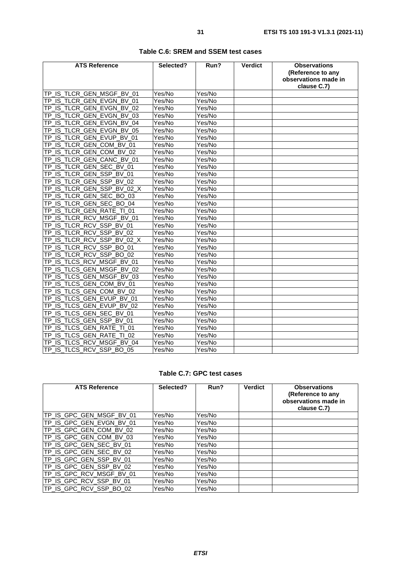| <b>ATS Reference</b>                 | Selected? | Run?                 | <b>Verdict</b> | <b>Observations</b><br>(Reference to any<br>observations made in<br>clause C.7) |
|--------------------------------------|-----------|----------------------|----------------|---------------------------------------------------------------------------------|
| TP_IS_TLCR_GEN_MSGF_BV_01            | Yes/No    | Yes/No               |                |                                                                                 |
| TP_IS_TLCR_GEN_EVGN_BV_01            | Yes/No    | Yes/No               |                |                                                                                 |
| TP_IS_TLCR_GEN_EVGN_BV_02            | Yes/No    | Yes/No               |                |                                                                                 |
| TP_IS_TLCR_GEN_EVGN_BV_03            | Yes/No    | Yes/No               |                |                                                                                 |
| TP IS TLCR GEN EVGN BV 04            | Yes/No    | Yes/No               |                |                                                                                 |
| IS TLCR GEN EVGN BV 05<br><b>TP</b>  | Yes/No    | Yes/No               |                |                                                                                 |
| IS TLCR GEN EVUP BV 01<br><b>TP</b>  | Yes/No    | Yes/No               |                |                                                                                 |
| IS_TLCR_GEN_COM_BV_01<br><b>TP</b>   | Yes/No    | Yes/No               |                |                                                                                 |
| TP_IS_TLCR_GEN_COM_BV_02             | Yes/No    | $\overline{Yes}$ /No |                |                                                                                 |
| IS TLCR GEN CANC BV 01<br>TP         | Yes/No    | Yes/No               |                |                                                                                 |
| TP_IS_TLCR_GEN_SEC_BV_01             | Yes/No    | Yes/No               |                |                                                                                 |
| IS TLCR GEN SSP BV 01<br>TP          | Yes/No    | Yes/No               |                |                                                                                 |
| IS_TLCR_GEN_SSP_BV_02<br><b>TP</b>   | Yes/No    | Yes/No               |                |                                                                                 |
| IS TLCR GEN SSP BV 02 X<br>TP        | Yes/No    | Yes/No               |                |                                                                                 |
| IS TLCR GEN SEC BO 03<br>TP          | Yes/No    | Yes/No               |                |                                                                                 |
| IS_TLCR_GEN_SEC_BO_04<br><b>TP</b>   | Yes/No    | Yes/No               |                |                                                                                 |
| IS_TLCR_GEN_RATE_TI_01<br>ТP         | Yes/No    | Yes/No               |                |                                                                                 |
| IS_TLCR_RCV_MSGF_BV_01<br>ТP         | Yes/No    | Yes/No               |                |                                                                                 |
| IS TLCR RCV SSP BV 01<br>TP          | Yes/No    | Yes/No               |                |                                                                                 |
| IS TLCR RCV SSP BV 02<br>TP          | Yes/No    | Yes/No               |                |                                                                                 |
| IS TLCR RCV SSP BV 02 X<br><b>TP</b> | Yes/No    | Yes/No               |                |                                                                                 |
| IS_TLCR_RCV_SSP_BO_01<br><b>TP</b>   | Yes/No    | Yes/No               |                |                                                                                 |
| IS TLCR RCV SSP BO 02<br>TP          | Yes/No    | Yes/No               |                |                                                                                 |
| TP_IS_TLCS_RCV_MSGF_BV_01            | Yes/No    | Yes/No               |                |                                                                                 |
| IS TLCS GEN MSGF BV 02<br>TP         | Yes/No    | Yes/No               |                |                                                                                 |
| IS TLCS GEN MSGF BV 03<br>TP         | Yes/No    | Yes/No               |                |                                                                                 |
| IS TLCS GEN COM BV 01<br>TP          | Yes/No    | Yes/No               |                |                                                                                 |
| IS_TLCS_GEN_COM_BV_02<br>ТP          | Yes/No    | Yes/No               |                |                                                                                 |
| IS TLCS GEN EVUP BV 01<br>TP         | Yes/No    | Yes/No               |                |                                                                                 |
| IS TLCS GEN EVUP BV 02<br>TP         | Yes/No    | Yes/No               |                |                                                                                 |
| _IS_TLCS_GEN_SEC_BV_01<br>TP         | Yes/No    | Yes/No               |                |                                                                                 |
| IS_TLCS_GEN_SSP_BV_01<br>TP          | Yes/No    | Yes/No               |                |                                                                                 |
| IS TLCS GEN RATE TI 01<br>TP         | Yes/No    | Yes/No               |                |                                                                                 |
| TP_IS_TLCS_GEN_RATE_TI_02            | Yes/No    | Yes/No               |                |                                                                                 |
| TP_IS_TLCS_RCV_MSGF_BV_04            | Yes/No    | Yes/No               |                |                                                                                 |
| TP_IS_TLCS_RCV_SSP_BO_05             | Yes/No    | Yes/No               |                |                                                                                 |

#### **Table C.6: SREM and SSEM test cases**

### **Table C.7: GPC test cases**

| <b>ATS Reference</b>     | Selected? | Run?   | <b>Verdict</b> | <b>Observations</b><br>(Reference to any<br>observations made in<br>clause C.7) |
|--------------------------|-----------|--------|----------------|---------------------------------------------------------------------------------|
| TP_IS_GPC_GEN_MSGF_BV_01 | Yes/No    | Yes/No |                |                                                                                 |
| TP_IS_GPC_GEN_EVGN_BV_01 | Yes/No    | Yes/No |                |                                                                                 |
| TP IS GPC GEN COM BV 02  | Yes/No    | Yes/No |                |                                                                                 |
| TP_IS_GPC_GEN_COM_BV_03  | Yes/No    | Yes/No |                |                                                                                 |
| TP_IS_GPC_GEN_SEC_BV_01  | Yes/No    | Yes/No |                |                                                                                 |
| TP_IS_GPC_GEN_SEC_BV_02  | Yes/No    | Yes/No |                |                                                                                 |
| TP_IS_GPC_GEN_SSP_BV_01  | Yes/No    | Yes/No |                |                                                                                 |
| TP_IS_GPC_GEN_SSP_BV_02  | Yes/No    | Yes/No |                |                                                                                 |
| TP_IS_GPC_RCV_MSGF_BV_01 | Yes/No    | Yes/No |                |                                                                                 |
| TP_IS_GPC_RCV_SSP_BV_01  | Yes/No    | Yes/No |                |                                                                                 |
| TP_IS_GPC_RCV_SSP_BO_02  | Yes/No    | Yes/No |                |                                                                                 |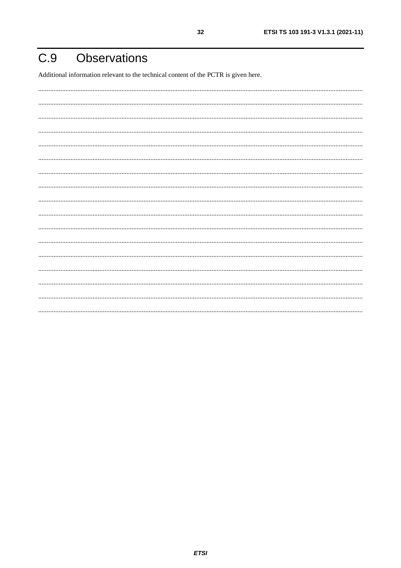#### <span id="page-31-0"></span>**Observations**  $C.9$

Additional information relevant to the technical content of the PCTR is given here.

32